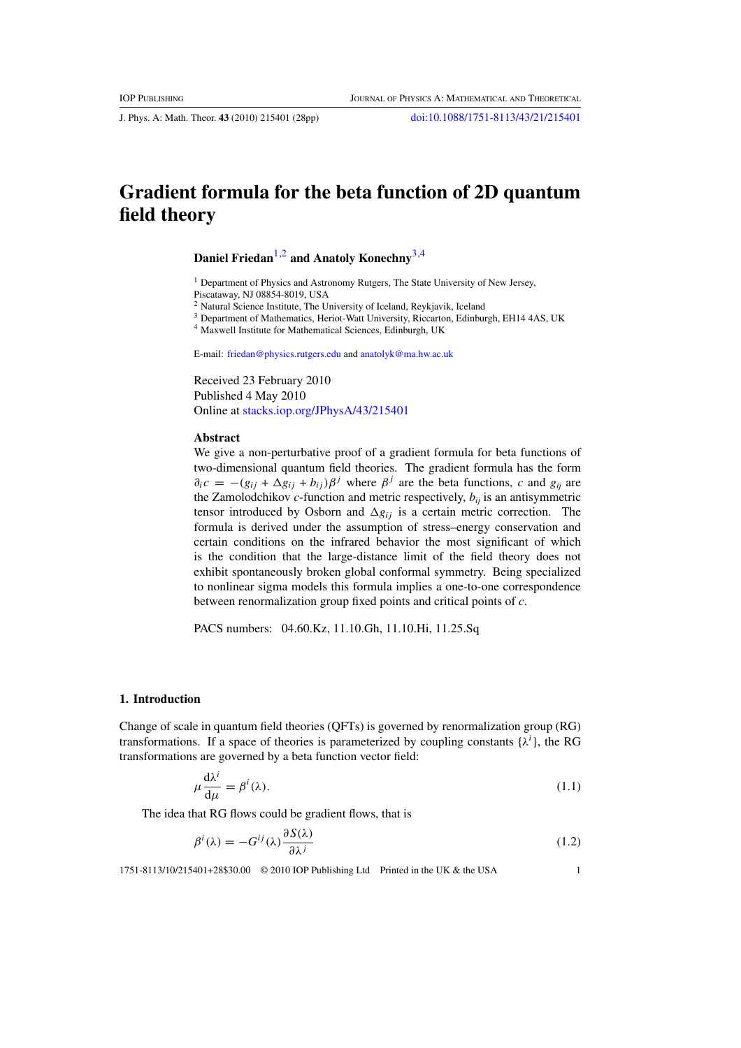<span id="page-0-0"></span>J. Phys. A: Math. Theor. **43** (2010) 215401 (28pp) [doi:10.1088/1751-8113/43/21/215401](http://dx.doi.org/10.1088/1751-8113/43/21/215401)

# **Gradient formula for the beta function of 2D quantum field theory**

**Daniel Friedan**1,2 **and Anatoly Konechny**3,4

<sup>1</sup> Department of Physics and Astronomy Rutgers, The State University of New Jersey, Piscataway, NJ 08854-8019, USA

<sup>2</sup> Natural Science Institute, The University of Iceland, Reykjavik, Iceland

<sup>3</sup> Department of Mathematics, Heriot-Watt University, Riccarton, Edinburgh, EH14 4AS, UK

<sup>4</sup> Maxwell Institute for Mathematical Sciences, Edinburgh, UK

E-mail: [friedan@physics.rutgers.edu](mailto:friedan@physics.rutgers.edu) and [anatolyk@ma.hw.ac.uk](mailto:anatolyk@ma.hw.ac.uk)

Received 23 February 2010 Published 4 May 2010 Online at [stacks.iop.org/JPhysA/43/215401](http://stacks.iop.org/JPhysA/43/215401)

### **Abstract**

We give a non-perturbative proof of a gradient formula for beta functions of two-dimensional quantum field theories. The gradient formula has the form  $\partial_i c = -(g_{ij} + \Delta g_{ij} + b_{ij})\beta^j$  where  $\beta^j$  are the beta functions, *c* and  $g_{ij}$  are the Zamolodchikov  $c$ -function and metric respectively,  $b_{ii}$  is an antisymmetric tensor introduced by Osborn and  $\Delta g_{ij}$  is a certain metric correction. The formula is derived under the assumption of stress–energy conservation and certain conditions on the infrared behavior the most significant of which is the condition that the large-distance limit of the field theory does not exhibit spontaneously broken global conformal symmetry. Being specialized to nonlinear sigma models this formula implies a one-to-one correspondence between renormalization group fixed points and critical points of *c*.

PACS numbers: 04.60.Kz, 11.10.Gh, 11.10.Hi, 11.25.Sq

#### **1. Introduction**

Change of scale in quantum field theories (QFTs) is governed by renormalization group (RG) transformations. If a space of theories is parameterized by coupling constants  $\{\lambda^i\}$ , the RG transformations are governed by a beta function vector field:

$$
\mu \frac{d\lambda^i}{d\mu} = \beta^i(\lambda). \tag{1.1}
$$

The idea that RG flows could be gradient flows, that is

$$
\beta^i(\lambda) = -G^{ij}(\lambda)\frac{\partial S(\lambda)}{\partial \lambda^j}
$$
\n(1.2)

1751-8113/10/215401+28\$30.00 © 2010 IOP Publishing Ltd Printed in the UK & the USA 1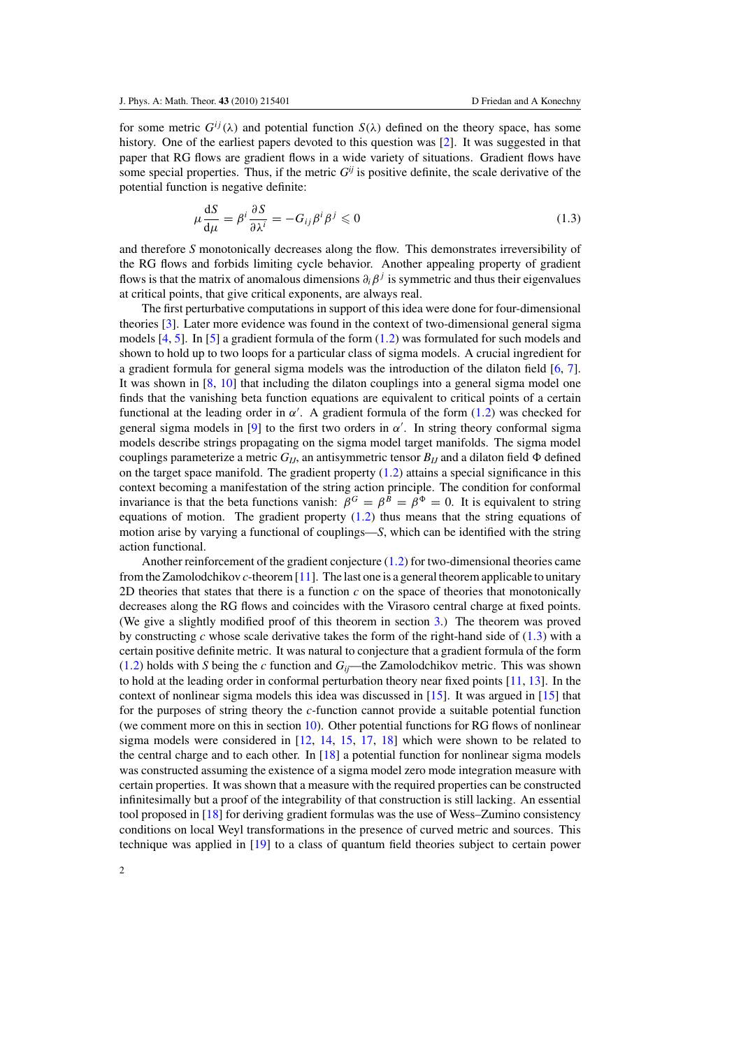for some metric  $G^{ij}(\lambda)$  and potential function  $S(\lambda)$  defined on the theory space, has some history. One of the earliest papers devoted to this question was [\[2](#page-27-0)]. It was suggested in that paper that RG flows are gradient flows in a wide variety of situations. Gradient flows have some special properties. Thus, if the metric  $G^{ij}$  is positive definite, the scale derivative of the potential function is negative definite:

$$
\mu \frac{\mathrm{d}S}{\mathrm{d}\mu} = \beta^i \frac{\partial S}{\partial \lambda^i} = -G_{ij}\beta^i \beta^j \leq 0 \tag{1.3}
$$

and therefore *S* monotonically decreases along the flow. This demonstrates irreversibility of the RG flows and forbids limiting cycle behavior. Another appealing property of gradient flows is that the matrix of anomalous dimensions  $\partial_i \beta^j$  is symmetric and thus their eigenvalues at critical points, that give critical exponents, are always real.

The first perturbative computations in support of this idea were done for four-dimensional theories [\[3](#page-27-0)]. Later more evidence was found in the context of two-dimensional general sigma models [\[4](#page-27-0), [5](#page-27-0)]. In [\[5](#page-27-0)] a gradient formula of the form (1*.*[2\)](#page-0-0) was formulated for such models and shown to hold up to two loops for a particular class of sigma models. A crucial ingredient for a gradient formula for general sigma models was the introduction of the dilaton field [\[6](#page-27-0), [7\]](#page-27-0). It was shown in [\[8](#page-27-0), [10\]](#page-27-0) that including the dilaton couplings into a general sigma model one finds that the vanishing beta function equations are equivalent to critical points of a certain functional at the leading order in  $\alpha'$ . A gradient formula of the form  $(1.2)$  $(1.2)$  was checked for general sigma models in [\[9\]](#page-27-0) to the first two orders in  $\alpha'$ . In string theory conformal sigma models describe strings propagating on the sigma model target manifolds. The sigma model couplings parameterize a metric  $G_{IJ}$ , an antisymmetric tensor  $B_{IJ}$  and a dilaton field  $\Phi$  defined on the target space manifold. The gradient property (1*.*[2\)](#page-0-0) attains a special significance in this context becoming a manifestation of the string action principle. The condition for conformal invariance is that the beta functions vanish:  $\beta^G = \beta^{\hat{B}} = \beta^{\hat{\Phi}} = 0$ . It is equivalent to string equations of motion. The gradient property [\(1](#page-0-0)*.*2) thus means that the string equations of motion arise by varying a functional of couplings—*S*, which can be identified with the string action functional.

Another reinforcement of the gradient conjecture (1*.*[2\)](#page-0-0) for two-dimensional theories came from the Zamolodchikov *c*-theorem [\[11](#page-27-0)]. The last one is a general theorem applicable to unitary 2D theories that states that there is a function *c* on the space of theories that monotonically decreases along the RG flows and coincides with the Virasoro central charge at fixed points. (We give a slightly modified proof of this theorem in section [3.](#page-5-0)) The theorem was proved by constructing *c* whose scale derivative takes the form of the right-hand side of (1*.*3) with a certain positive definite metric. It was natural to conjecture that a gradient formula of the form  $(1.2)$  $(1.2)$  holds with *S* being the *c* function and  $G_i$ —the Zamolodchikov metric. This was shown to hold at the leading order in conformal perturbation theory near fixed points [\[11](#page-27-0), [13](#page-27-0)]. In the context of nonlinear sigma models this idea was discussed in [\[15\]](#page-27-0). It was argued in [\[15\]](#page-27-0) that for the purposes of string theory the *c*-function cannot provide a suitable potential function (we comment more on this in section [10\)](#page-26-0). Other potential functions for RG flows of nonlinear sigma models were considered in [\[12](#page-27-0), [14,](#page-27-0) [15](#page-27-0), [17,](#page-27-0) [18](#page-27-0)] which were shown to be related to the central charge and to each other. In [\[18\]](#page-27-0) a potential function for nonlinear sigma models was constructed assuming the existence of a sigma model zero mode integration measure with certain properties. It was shown that a measure with the required properties can be constructed infinitesimally but a proof of the integrability of that construction is still lacking. An essential tool proposed in [\[18\]](#page-27-0) for deriving gradient formulas was the use of Wess–Zumino consistency conditions on local Weyl transformations in the presence of curved metric and sources. This technique was applied in [\[19](#page-27-0)] to a class of quantum field theories subject to certain power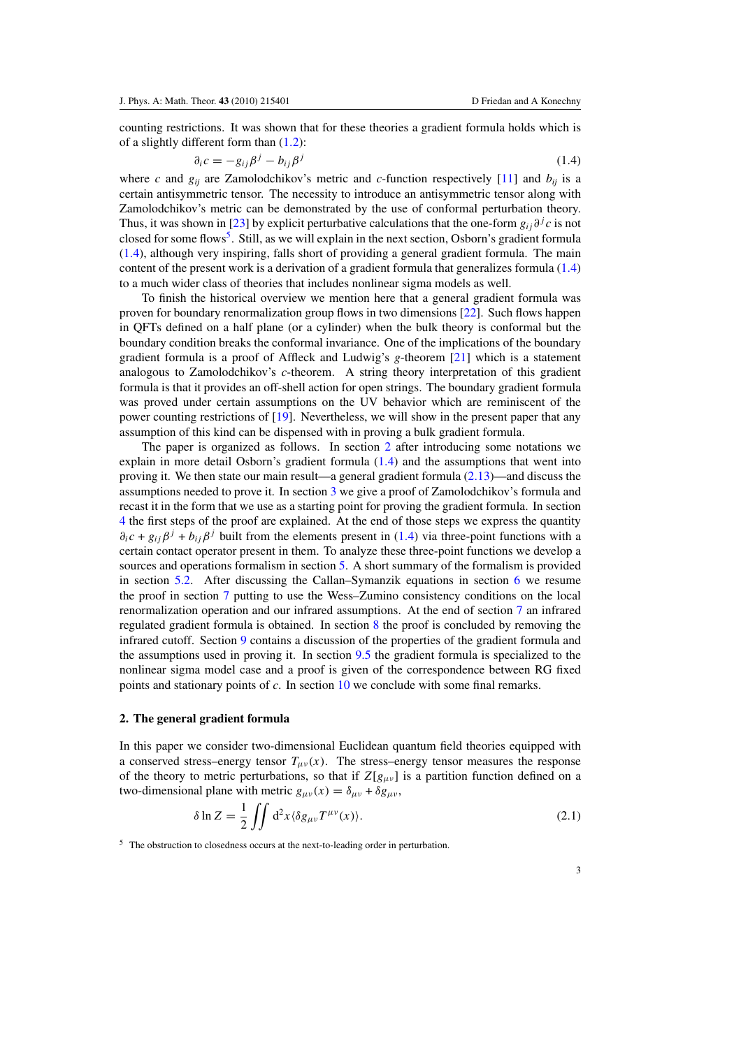<span id="page-2-0"></span>counting restrictions. It was shown that for these theories a gradient formula holds which is of a slightly different form than [\(1](#page-0-0)*.*2):

$$
\partial_i c = -g_{ij}\beta^j - b_{ij}\beta^j \tag{1.4}
$$

where *c* and  $g_{ij}$  are Zamolodchikov's metric and *c*-function respectively [\[11](#page-27-0)] and  $b_{ij}$  is a certain antisymmetric tensor. The necessity to introduce an antisymmetric tensor along with Zamolodchikov's metric can be demonstrated by the use of conformal perturbation theory. Thus, it was shown in [\[23](#page-27-0)] by explicit perturbative calculations that the one-form  $g_{ij}\partial^j c$  is not closed for some flows<sup>5</sup>. Still, as we will explain in the next section, Osborn's gradient formula (1*.*4), although very inspiring, falls short of providing a general gradient formula. The main content of the present work is a derivation of a gradient formula that generalizes formula (1*.*4) to a much wider class of theories that includes nonlinear sigma models as well.

To finish the historical overview we mention here that a general gradient formula was proven for boundary renormalization group flows in two dimensions [\[22](#page-27-0)]. Such flows happen in QFTs defined on a half plane (or a cylinder) when the bulk theory is conformal but the boundary condition breaks the conformal invariance. One of the implications of the boundary gradient formula is a proof of Affleck and Ludwig's *g*-theorem [\[21\]](#page-27-0) which is a statement analogous to Zamolodchikov's *c*-theorem. A string theory interpretation of this gradient formula is that it provides an off-shell action for open strings. The boundary gradient formula was proved under certain assumptions on the UV behavior which are reminiscent of the power counting restrictions of [\[19\]](#page-27-0). Nevertheless, we will show in the present paper that any assumption of this kind can be dispensed with in proving a bulk gradient formula.

The paper is organized as follows. In section 2 after introducing some notations we explain in more detail Osborn's gradient formula (1*.*4) and the assumptions that went into proving it. We then state our main result—a general gradient formula (2*.*[13\)](#page-4-0)—and discuss the assumptions needed to prove it. In section [3](#page-5-0) we give a proof of Zamolodchikov's formula and recast it in the form that we use as a starting point for proving the gradient formula. In section [4](#page-6-0) the first steps of the proof are explained. At the end of those steps we express the quantity  $\partial_i c + g_{ii} \beta^j + b_{ii} \beta^j$  built from the elements present in (1.4) via three-point functions with a certain contact operator present in them. To analyze these three-point functions we develop a sources and operations formalism in section [5.](#page-8-0) A short summary of the formalism is provided in section [5.2.](#page-11-0) After discussing the Callan–Symanzik equations in section  $6$  we resume the proof in section [7](#page-13-0) putting to use the Wess–Zumino consistency conditions on the local renormalization operation and our infrared assumptions. At the end of section [7](#page-13-0) an infrared regulated gradient formula is obtained. In section [8](#page-18-0) the proof is concluded by removing the infrared cutoff. Section [9](#page-20-0) contains a discussion of the properties of the gradient formula and the assumptions used in proving it. In section [9.5](#page-24-0) the gradient formula is specialized to the nonlinear sigma model case and a proof is given of the correspondence between RG fixed points and stationary points of *c*. In section [10](#page-26-0) we conclude with some final remarks.

#### **2. The general gradient formula**

In this paper we consider two-dimensional Euclidean quantum field theories equipped with a conserved stress–energy tensor  $T_{\mu\nu}(x)$ . The stress–energy tensor measures the response of the theory to metric perturbations, so that if  $Z[g_{\mu\nu}]$  is a partition function defined on a two-dimensional plane with metric  $g_{\mu\nu}(x) = \delta_{\mu\nu} + \delta g_{\mu\nu}$ ,

$$
\delta \ln Z = \frac{1}{2} \iint d^2 x \langle \delta g_{\mu\nu} T^{\mu\nu}(x) \rangle.
$$
 (2.1)

<sup>5</sup> The obstruction to closedness occurs at the next-to-leading order in perturbation.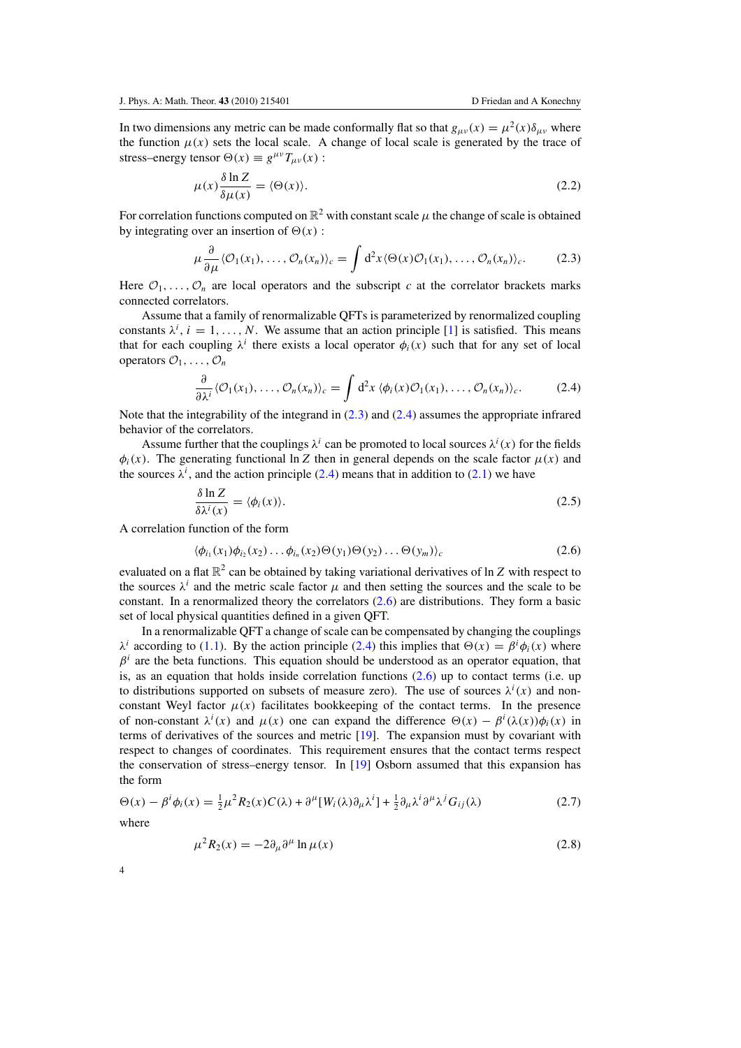<span id="page-3-0"></span>In two dimensions any metric can be made conformally flat so that  $g_{\mu\nu}(x) = \mu^2(x)\delta_{\mu\nu}$  where the function  $\mu(x)$  sets the local scale. A change of local scale is generated by the trace of stress–energy tensor  $\Theta(x) \equiv g^{\mu\nu}T_{\mu\nu}(x)$ :

$$
\mu(x)\frac{\delta \ln Z}{\delta \mu(x)} = \langle \Theta(x) \rangle. \tag{2.2}
$$

For correlation functions computed on  $\mathbb{R}^2$  with constant scale  $\mu$  the change of scale is obtained by integrating over an insertion of  $\Theta(x)$ :

$$
\mu \frac{\partial}{\partial \mu} \langle \mathcal{O}_1(x_1), \dots, \mathcal{O}_n(x_n) \rangle_c = \int d^2x \langle \Theta(x) \mathcal{O}_1(x_1), \dots, \mathcal{O}_n(x_n) \rangle_c.
$$
 (2.3)

Here  $\mathcal{O}_1, \ldots, \mathcal{O}_n$  are local operators and the subscript *c* at the correlator brackets marks connected correlators.

Assume that a family of renormalizable QFTs is parameterized by renormalized coupling constants  $\lambda^i$ ,  $i = 1, ..., N$ . We assume that an action principle [\[1\]](#page-27-0) is satisfied. This means that for each coupling  $\lambda^i$  there exists a local operator  $\phi_i(x)$  such that for any set of local operators  $\mathcal{O}_1, \ldots, \mathcal{O}_n$ 

$$
\frac{\partial}{\partial \lambda^i} \langle \mathcal{O}_1(x_1), \dots, \mathcal{O}_n(x_n) \rangle_c = \int d^2x \, \langle \phi_i(x) \mathcal{O}_1(x_1), \dots, \mathcal{O}_n(x_n) \rangle_c. \tag{2.4}
$$

Note that the integrability of the integrand in (2*.*3) and (2*.*4) assumes the appropriate infrared behavior of the correlators.

Assume further that the couplings  $\lambda^i$  can be promoted to local sources  $\lambda^i(x)$  for the fields  $\phi_i(x)$ . The generating functional ln Z then in general depends on the scale factor  $\mu(x)$  and the sources  $\lambda^i$ , and the action principle (2.4) means that in addition to (2.[1\)](#page-2-0) we have

$$
\frac{\delta \ln Z}{\delta \lambda^i(x)} = \langle \phi_i(x) \rangle.
$$
 (2.5)

A correlation function of the form

$$
\langle \phi_{i_1}(x_1)\phi_{i_2}(x_2)\dots\phi_{i_n}(x_2)\Theta(y_1)\Theta(y_2)\dots\Theta(y_m)\rangle_c
$$
\n(2.6)

evaluated on a flat  $\mathbb{R}^2$  can be obtained by taking variational derivatives of ln Z with respect to the sources  $\lambda^i$  and the metric scale factor  $\mu$  and then setting the sources and the scale to be constant. In a renormalized theory the correlators (2*.*6) are distributions. They form a basic set of local physical quantities defined in a given QFT.

In a renormalizable QFT a change of scale can be compensated by changing the couplings *λ*<sup>*i*</sup> according to (1.[1\)](#page-0-0). By the action principle (2.4) this implies that  $Θ(x) = β<sup>i</sup> φ<sub>i</sub>(x)$  where  $\beta$ <sup>*i*</sup> are the beta functions. This equation should be understood as an operator equation, that is, as an equation that holds inside correlation functions (2*.*6) up to contact terms (i.e. up to distributions supported on subsets of measure zero). The use of sources  $\lambda^{i}(x)$  and nonconstant Weyl factor  $\mu(x)$  facilitates bookkeeping of the contact terms. In the presence of non-constant  $\lambda^{i}(x)$  and  $\mu(x)$  one can expand the difference  $\Theta(x) - \beta^{i}(\lambda(x))\phi_{i}(x)$  in terms of derivatives of the sources and metric [\[19\]](#page-27-0). The expansion must by covariant with respect to changes of coordinates. This requirement ensures that the contact terms respect the conservation of stress–energy tensor. In [\[19\]](#page-27-0) Osborn assumed that this expansion has the form

$$
\Theta(x) - \beta^i \phi_i(x) = \frac{1}{2} \mu^2 R_2(x) C(\lambda) + \partial^\mu [W_i(\lambda) \partial_\mu \lambda^i] + \frac{1}{2} \partial_\mu \lambda^i \partial^\mu \lambda^j G_{ij}(\lambda)
$$
(2.7)

where

$$
\mu^2 R_2(x) = -2\partial_\mu \partial^\mu \ln \mu(x) \tag{2.8}
$$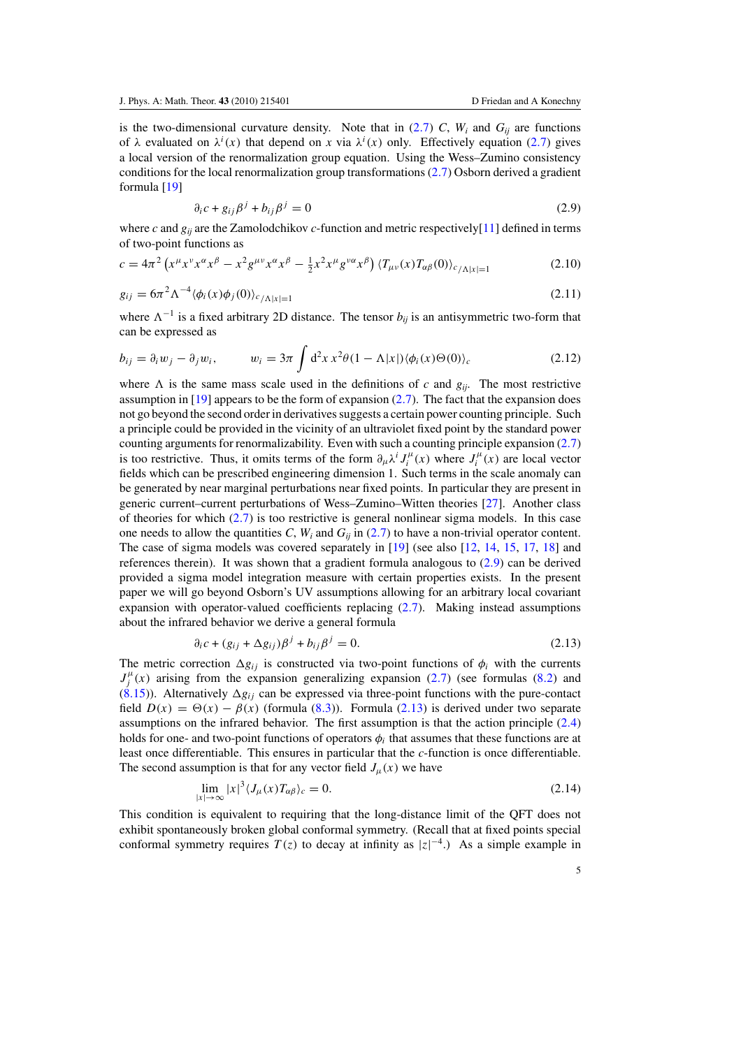<span id="page-4-0"></span>is the two-dimensional curvature density. Note that in  $(2.7)$  $(2.7)$  *C*,  $W_i$  and  $G_{ij}$  are functions of  $\lambda$  evaluated on  $\lambda^{i}(x)$  that depend on *x* via  $\lambda^{i}(x)$  only. Effectively equation [\(2](#page-3-0).7) gives a local version of the renormalization group equation. Using the Wess–Zumino consistency conditions for the local renormalization group transformations [\(2](#page-3-0)*.*7) Osborn derived a gradient formula [\[19](#page-27-0)]

$$
\partial_i c + g_{ij} \beta^j + b_{ij} \beta^j = 0 \tag{2.9}
$$

where *c* and  $g_{ij}$  are the Zamolodchikov *c*-function and metric respectively[\[11\]](#page-27-0) defined in terms of two-point functions as

$$
c = 4\pi^2 \left( x^\mu x^\nu x^\alpha x^\beta - x^2 g^{\mu\nu} x^\alpha x^\beta - \frac{1}{2} x^2 x^\mu g^{\nu\alpha} x^\beta \right) \langle T_{\mu\nu}(x) T_{\alpha\beta}(0) \rangle_{c/\Lambda|x|=1}
$$
(2.10)

$$
g_{ij} = 6\pi^2 \Lambda^{-4} \langle \phi_i(x) \phi_j(0) \rangle_{c/\Lambda |x|=1}
$$
\n(2.11)

where  $\Lambda^{-1}$  is a fixed arbitrary 2D distance. The tensor  $b_{ij}$  is an antisymmetric two-form that can be expressed as

$$
b_{ij} = \partial_i w_j - \partial_j w_i, \qquad w_i = 3\pi \int d^2x \, x^2 \theta (1 - \Lambda |x|) \langle \phi_i(x) \Theta(0) \rangle_c \tag{2.12}
$$

where  $\Lambda$  is the same mass scale used in the definitions of *c* and  $g_{ij}$ . The most restrictive assumption in [\[19\]](#page-27-0) appears to be the form of expansion (2*.*[7\)](#page-3-0). The fact that the expansion does not go beyond the second order in derivatives suggests a certain power counting principle. Such a principle could be provided in the vicinity of an ultraviolet fixed point by the standard power counting arguments for renormalizability. Even with such a counting principle expansion (2*.*[7\)](#page-3-0) is too restrictive. Thus, it omits terms of the form  $\partial_\mu \lambda^i J_i^\mu(x)$  where  $J_i^\mu(x)$  are local vector fields which can be prescribed engineering dimension 1. Such terms in the scale anomaly can be generated by near marginal perturbations near fixed points. In particular they are present in generic current–current perturbations of Wess–Zumino–Witten theories [\[27](#page-27-0)]. Another class of theories for which [\(2](#page-3-0)*.*7) is too restrictive is general nonlinear sigma models. In this case one needs to allow the quantities *C*,  $W_i$  and  $G_{ij}$  in [\(2](#page-3-0).7) to have a non-trivial operator content. The case of sigma models was covered separately in [\[19](#page-27-0)] (see also [\[12](#page-27-0), [14,](#page-27-0) [15](#page-27-0), [17](#page-27-0), [18\]](#page-27-0) and references therein). It was shown that a gradient formula analogous to (2*.*9) can be derived provided a sigma model integration measure with certain properties exists. In the present paper we will go beyond Osborn's UV assumptions allowing for an arbitrary local covariant expansion with operator-valued coefficients replacing (2*.*[7\)](#page-3-0). Making instead assumptions about the infrared behavior we derive a general formula

$$
\partial_i c + (g_{ij} + \Delta g_{ij})\beta^j + b_{ij}\beta^j = 0.
$$
\n(2.13)

The metric correction  $\Delta g_{ij}$  is constructed via two-point functions of  $\phi_i$  with the currents  $J_j^{\mu}(x)$  arising from the expansion generalizing expansion (2.[7\)](#page-3-0) (see formulas [\(8](#page-18-0).2) and  $(\dot{8}.15)$  $(\dot{8}.15)$ ). Alternatively  $\Delta g_{ij}$  can be expressed via three-point functions with the pure-contact field  $D(x) = \Theta(x) - \beta(x)$  (formula [\(8](#page-18-0).3)). Formula (2.13) is derived under two separate assumptions on the infrared behavior. The first assumption is that the action principle (2*.*[4\)](#page-3-0) holds for one- and two-point functions of operators  $\phi_i$  that assumes that these functions are at least once differentiable. This ensures in particular that the *c*-function is once differentiable. The second assumption is that for any vector field  $J_\mu(x)$  we have

$$
\lim_{|x| \to \infty} |x|^3 \langle J_\mu(x) T_{\alpha \beta} \rangle_c = 0. \tag{2.14}
$$

This condition is equivalent to requiring that the long-distance limit of the QFT does not exhibit spontaneously broken global conformal symmetry. (Recall that at fixed points special conformal symmetry requires  $T(z)$  to decay at infinity as  $|z|^{-4}$ .) As a simple example in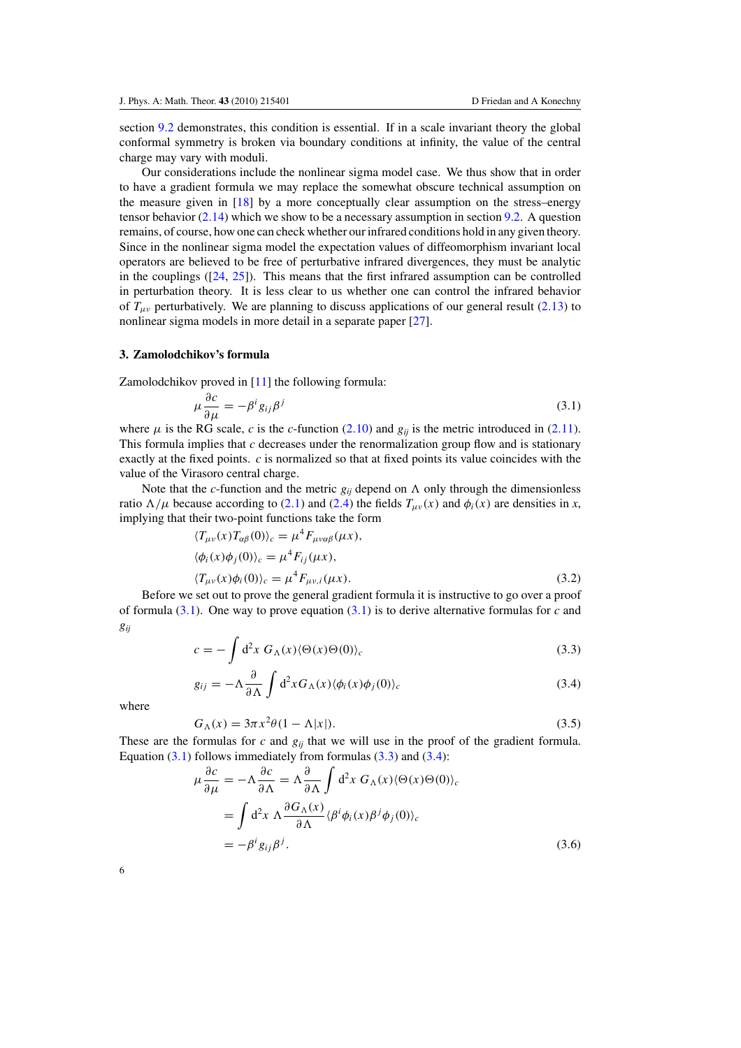<span id="page-5-0"></span>section [9.2](#page-20-0) demonstrates, this condition is essential. If in a scale invariant theory the global conformal symmetry is broken via boundary conditions at infinity, the value of the central charge may vary with moduli.

Our considerations include the nonlinear sigma model case. We thus show that in order to have a gradient formula we may replace the somewhat obscure technical assumption on the measure given in [\[18](#page-27-0)] by a more conceptually clear assumption on the stress–energy tensor behavior (2*.*[14\)](#page-4-0) which we show to be a necessary assumption in section [9.2.](#page-20-0) A question remains, of course, how one can check whether our infrared conditions hold in any given theory. Since in the nonlinear sigma model the expectation values of diffeomorphism invariant local operators are believed to be free of perturbative infrared divergences, they must be analytic in the couplings  $([24, 25])$  $([24, 25])$  $([24, 25])$  $([24, 25])$  $([24, 25])$ . This means that the first infrared assumption can be controlled in perturbation theory. It is less clear to us whether one can control the infrared behavior of  $T_{\mu\nu}$  perturbatively. We are planning to discuss applications of our general result (2.[13\)](#page-4-0) to nonlinear sigma models in more detail in a separate paper [\[27\]](#page-27-0).

#### **3. Zamolodchikov's formula**

Zamolodchikov proved in [\[11\]](#page-27-0) the following formula:

$$
\mu \frac{\partial c}{\partial \mu} = -\beta^i g_{ij} \beta^j \tag{3.1}
$$

where  $\mu$  is the RG scale, *c* is the *c*-function (2.[10\)](#page-4-0) and  $g_{ii}$  is the metric introduced in (2.[11\)](#page-4-0). This formula implies that *c* decreases under the renormalization group flow and is stationary exactly at the fixed points. *c* is normalized so that at fixed points its value coincides with the value of the Virasoro central charge.

Note that the *c*-function and the metric  $g_{ij}$  depend on  $\Lambda$  only through the dimensionless ratio  $\Lambda/\mu$  because according to [\(2](#page-3-0).1) and (2.4) the fields  $T_{\mu\nu}(x)$  and  $\phi_i(x)$  are densities in *x*, implying that their two-point functions take the form

$$
\langle T_{\mu\nu}(x) T_{\alpha\beta}(0) \rangle_c = \mu^4 F_{\mu\nu\alpha\beta}(\mu x),
$$
  

$$
\langle \phi_i(x) \phi_j(0) \rangle_c = \mu^4 F_{ij}(\mu x),
$$
  

$$
\langle T_{\mu\nu}(x) \phi_i(0) \rangle_c = \mu^4 F_{\mu\nu,i}(\mu x).
$$
 (3.2)

Before we set out to prove the general gradient formula it is instructive to go over a proof of formula (3*.*1). One way to prove equation (3*.*1) is to derive alternative formulas for *c* and *gij*

$$
c = -\int d^2x \ G_{\Lambda}(x) \langle \Theta(x) \Theta(0) \rangle_c \tag{3.3}
$$

$$
g_{ij} = -\Lambda \frac{\partial}{\partial \Lambda} \int d^2x G_{\Lambda}(x) \langle \phi_i(x) \phi_j(0) \rangle_c \tag{3.4}
$$

where

$$
G_{\Lambda}(x) = 3\pi x^2 \theta (1 - \Lambda |x|). \tag{3.5}
$$

These are the formulas for *c* and *gij* that we will use in the proof of the gradient formula. Equation (3*.*1) follows immediately from formulas (3*.*3) and (3*.*4):

$$
\mu \frac{\partial c}{\partial \mu} = -\Lambda \frac{\partial c}{\partial \Lambda} = \Lambda \frac{\partial}{\partial \Lambda} \int d^2 x \ G_{\Lambda}(x) \langle \Theta(x) \Theta(0) \rangle_c
$$
  
= 
$$
\int d^2 x \ \Lambda \frac{\partial G_{\Lambda}(x)}{\partial \Lambda} \langle \beta^i \phi_i(x) \beta^j \phi_j(0) \rangle_c
$$
  
= 
$$
-\beta^i g_{ij} \beta^j.
$$
 (3.6)

| I                 |
|-------------------|
|                   |
| ۰.                |
|                   |
| I<br>I<br>M<br>۰, |
|                   |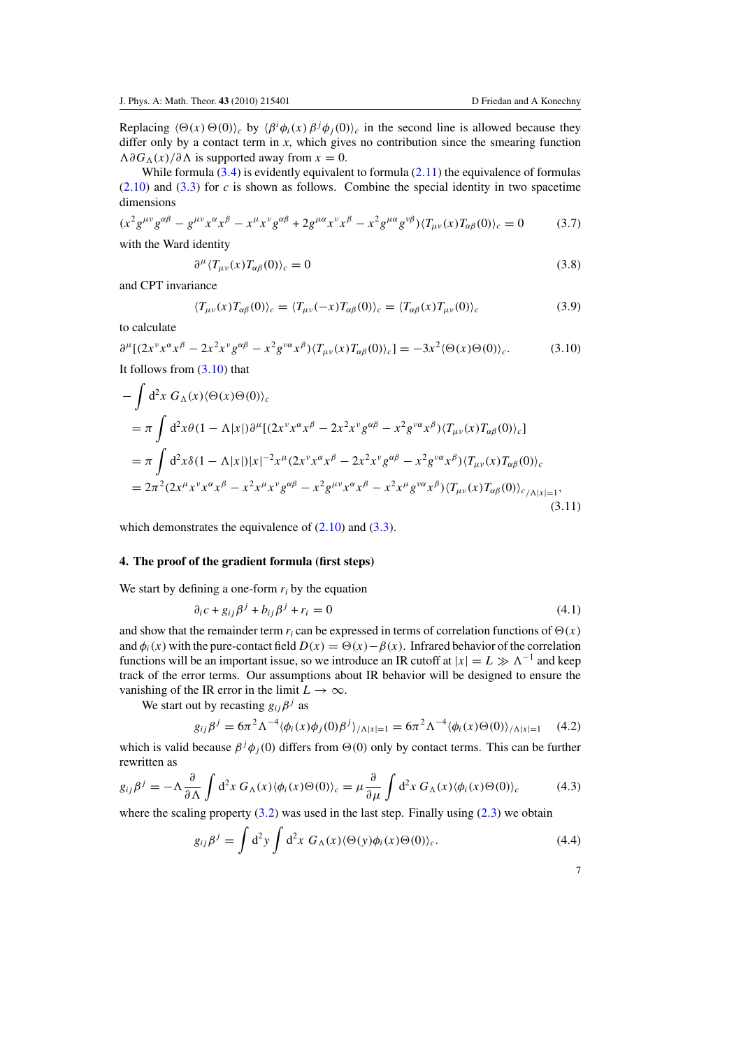<span id="page-6-0"></span>Replacing  $\langle \Theta(x) \Theta(0) \rangle_c$  by  $\langle \beta^i \phi_i(x) \beta^j \phi_j(0) \rangle_c$  in the second line is allowed because they differ only by a contact term in  $x$ , which gives no contribution since the smearing function  $\Lambda \partial G_{\Lambda}(x)/\partial \Lambda$  is supported away from  $x = 0$ .

While formula [\(3](#page-5-0)*.*4) is evidently equivalent to formula (2*.*[11\)](#page-4-0) the equivalence of formulas (2*.*[10\)](#page-4-0) and (3*.*[3\)](#page-5-0) for *c* is shown as follows. Combine the special identity in two spacetime dimensions

$$
(x^2 g^{\mu\nu} g^{\alpha\beta} - g^{\mu\nu} x^{\alpha} x^{\beta} - x^{\mu} x^{\nu} g^{\alpha\beta} + 2 g^{\mu\alpha} x^{\nu} x^{\beta} - x^2 g^{\mu\alpha} g^{\nu\beta}) \langle T_{\mu\nu}(x) T_{\alpha\beta}(0) \rangle_c = 0 \tag{3.7}
$$

with the Ward identity

$$
\partial^{\mu} \langle T_{\mu\nu}(x) T_{\alpha\beta}(0) \rangle_c = 0 \tag{3.8}
$$

and CPT invariance

$$
\langle T_{\mu\nu}(x)T_{\alpha\beta}(0)\rangle_c = \langle T_{\mu\nu}(-x)T_{\alpha\beta}(0)\rangle_c = \langle T_{\alpha\beta}(x)T_{\mu\nu}(0)\rangle_c \tag{3.9}
$$

to calculate

$$
\partial^{\mu}[(2x^{\nu}x^{\alpha}x^{\beta} - 2x^{2}x^{\nu}g^{\alpha\beta} - x^{2}g^{\nu\alpha}x^{\beta})\langle T_{\mu\nu}(x)T_{\alpha\beta}(0)\rangle_{c}] = -3x^{2}\langle \Theta(x)\Theta(0)\rangle_{c}.
$$
\n(3.10)  
It follows from (3.10) that

$$
-\int d^2x \ G_{\Lambda}(x)\langle\Theta(x)\Theta(0)\rangle_c
$$
  
=  $\pi \int d^2x \theta (1 - \Lambda|x|) \partial^{\mu} [(2x^{\nu}x^{\alpha}x^{\beta} - 2x^2x^{\nu}g^{\alpha\beta} - x^2g^{\nu\alpha}x^{\beta})\langle T_{\mu\nu}(x)T_{\alpha\beta}(0)\rangle_c]$   
=  $\pi \int d^2x \delta (1 - \Lambda|x|)|x|^{-2}x^{\mu} (2x^{\nu}x^{\alpha}x^{\beta} - 2x^2x^{\nu}g^{\alpha\beta} - x^2g^{\nu\alpha}x^{\beta})\langle T_{\mu\nu}(x)T_{\alpha\beta}(0)\rangle_c$   
=  $2\pi^2 (2x^{\mu}x^{\nu}x^{\alpha}x^{\beta} - x^2x^{\mu}x^{\nu}g^{\alpha\beta} - x^2g^{\mu\nu}x^{\alpha}x^{\beta} - x^2x^{\mu}g^{\nu\alpha}x^{\beta})\langle T_{\mu\nu}(x)T_{\alpha\beta}(0)\rangle_{c/\Lambda|x|=1},$   
(3.11)

which demonstrates the equivalence of (2*.*[10\)](#page-4-0) and (3*.*[3\)](#page-5-0).

### **4. The proof of the gradient formula (first steps)**

We start by defining a one-form  $r_i$  by the equation

$$
\partial_i c + g_{ij} \beta^j + b_{ij} \beta^j + r_i = 0 \tag{4.1}
$$

and show that the remainder term  $r_i$  can be expressed in terms of correlation functions of  $\Theta(x)$ and  $\phi_i(x)$  with the pure-contact field  $D(x) = \Theta(x) - \beta(x)$ . Infrared behavior of the correlation functions will be an important issue, so we introduce an IR cutoff at  $|x| = L \gg \Lambda^{-1}$  and keep track of the error terms. Our assumptions about IR behavior will be designed to ensure the vanishing of the IR error in the limit  $L \to \infty$ .

We start out by recasting  $g_{ii}\beta^j$  as

$$
g_{ij}\beta^j = 6\pi^2\Lambda^{-4}\langle\phi_i(x)\phi_j(0)\beta^j\rangle_{/\Lambda|x|=1} = 6\pi^2\Lambda^{-4}\langle\phi_i(x)\Theta(0)\rangle_{/\Lambda|x|=1}
$$
 (4.2)

which is valid because  $\beta^{j}\phi_{j}(0)$  differs from  $\Theta(0)$  only by contact terms. This can be further rewritten as

$$
g_{ij}\beta^j = -\Lambda \frac{\partial}{\partial \Lambda} \int d^2x \, G_\Lambda(x) \langle \phi_i(x)\Theta(0) \rangle_c = \mu \frac{\partial}{\partial \mu} \int d^2x \, G_\Lambda(x) \langle \phi_i(x)\Theta(0) \rangle_c \tag{4.3}
$$

where the scaling property [\(3](#page-5-0)*.*2) was used in the last step. Finally using [\(2](#page-3-0)*.*3) we obtain

$$
g_{ij}\beta^j = \int d^2y \int d^2x \ G_{\Lambda}(x) \langle \Theta(y)\phi_i(x)\Theta(0)\rangle_c.
$$
 (4.4)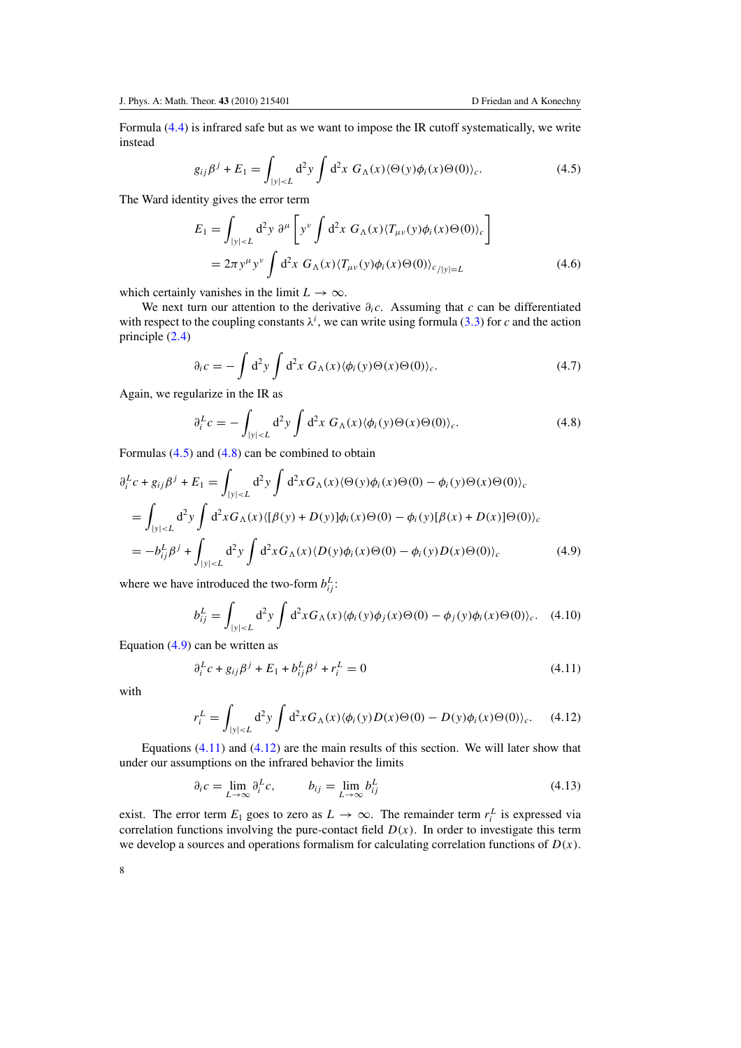<span id="page-7-0"></span>Formula [\(4](#page-6-0)*.*4) is infrared safe but as we want to impose the IR cutoff systematically, we write instead

$$
g_{ij}\beta^j + E_1 = \int_{|y| < L} d^2y \int d^2x \ G_\Lambda(x) \langle \Theta(y)\phi_i(x)\Theta(0) \rangle_c. \tag{4.5}
$$

The Ward identity gives the error term

$$
E_1 = \int_{|y| < L} d^2 y \ \partial^\mu \left[ y^\nu \int d^2 x \ G_\Lambda(x) \langle T_{\mu\nu}(y) \phi_i(x) \Theta(0) \rangle_c \right]
$$
\n
$$
= 2\pi y^\mu y^\nu \int d^2 x \ G_\Lambda(x) \langle T_{\mu\nu}(y) \phi_i(x) \Theta(0) \rangle_{c/|y|=L} \tag{4.6}
$$

which certainly vanishes in the limit  $L \to \infty$ .

We next turn our attention to the derivative *∂ic*. Assuming that *c* can be differentiated with respect to the coupling constants  $\lambda^i$ , we can write using formula (3.[3\)](#page-5-0) for *c* and the action principle [\(2](#page-3-0)*.*4)

$$
\partial_i c = -\int d^2 y \int d^2 x G_{\Lambda}(x) \langle \phi_i(y) \Theta(x) \Theta(0) \rangle_c.
$$
 (4.7)

Again, we regularize in the IR as

$$
\partial_i^L c = -\int_{|y| (4.8)
$$

Formulas (4*.*5) and (4*.*8) can be combined to obtain

$$
\partial_i^L c + g_{ij}\beta^j + E_1 = \int_{|y| < L} d^2 y \int d^2 x G_\Lambda(x) \langle \Theta(y)\phi_i(x)\Theta(0) - \phi_i(y)\Theta(x)\Theta(0) \rangle_c
$$
\n
$$
= \int_{|y| < L} d^2 y \int d^2 x G_\Lambda(x) \langle [\beta(y) + D(y)]\phi_i(x)\Theta(0) - \phi_i(y)[\beta(x) + D(x)]\Theta(0) \rangle_c
$$
\n
$$
= -b_{ij}^L \beta^j + \int_{|y| < L} d^2 y \int d^2 x G_\Lambda(x) \langle D(y)\phi_i(x)\Theta(0) - \phi_i(y)D(x)\Theta(0) \rangle_c \tag{4.9}
$$

where we have introduced the two-form  $b_{ij}^L$ :

$$
b_{ij}^L = \int_{|y| < L} d^2 y \int d^2 x G_{\Lambda}(x) \langle \phi_i(y) \phi_j(x) \Theta(0) - \phi_j(y) \phi_i(x) \Theta(0) \rangle_c. \tag{4.10}
$$

Equation (4*.*9) can be written as

$$
\partial_i^L c + g_{ij}\beta^j + E_1 + b_{ij}^L \beta^j + r_i^L = 0 \tag{4.11}
$$

with

$$
r_i^L = \int_{|y| < L} d^2 y \int d^2 x G_\Lambda(x) \langle \phi_i(y) D(x) \Theta(0) - D(y) \phi_i(x) \Theta(0) \rangle_c. \tag{4.12}
$$

Equations (4*.*11) and (4*.*12) are the main results of this section. We will later show that under our assumptions on the infrared behavior the limits

$$
\partial_i c = \lim_{L \to \infty} \partial_i^L c, \qquad b_{ij} = \lim_{L \to \infty} b_{ij}^L \tag{4.13}
$$

exist. The error term  $E_1$  goes to zero as  $L \to \infty$ . The remainder term  $r_i^L$  is expressed via correlation functions involving the pure-contact field  $D(x)$ . In order to investigate this term we develop a sources and operations formalism for calculating correlation functions of *D(x)*.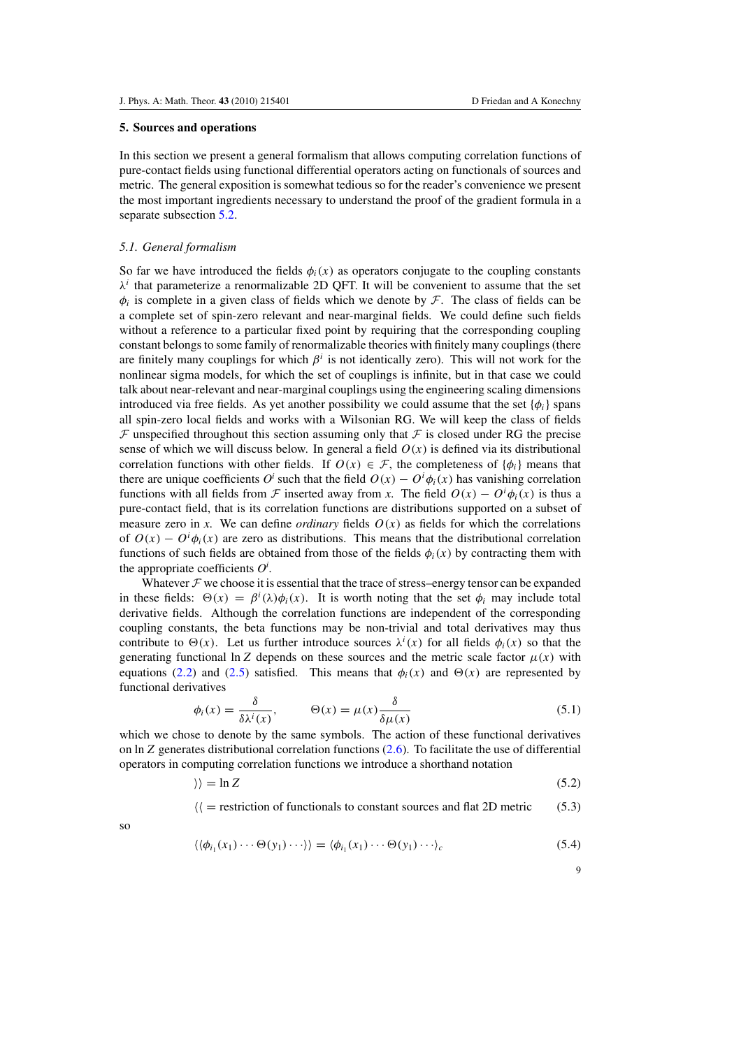#### <span id="page-8-0"></span>**5. Sources and operations**

In this section we present a general formalism that allows computing correlation functions of pure-contact fields using functional differential operators acting on functionals of sources and metric. The general exposition is somewhat tedious so for the reader's convenience we present the most important ingredients necessary to understand the proof of the gradient formula in a separate subsection [5.2.](#page-11-0)

### *5.1. General formalism*

So far we have introduced the fields  $\phi_i(x)$  as operators conjugate to the coupling constants  $\lambda^i$  that parameterize a renormalizable 2D QFT. It will be convenient to assume that the set  $\phi_i$  is complete in a given class of fields which we denote by  $\mathcal F$ . The class of fields can be a complete set of spin-zero relevant and near-marginal fields. We could define such fields without a reference to a particular fixed point by requiring that the corresponding coupling constant belongs to some family of renormalizable theories with finitely many couplings (there are finitely many couplings for which  $\beta^i$  is not identically zero). This will not work for the nonlinear sigma models, for which the set of couplings is infinite, but in that case we could talk about near-relevant and near-marginal couplings using the engineering scaling dimensions introduced via free fields. As yet another possibility we could assume that the set  $\{\phi_i\}$  spans all spin-zero local fields and works with a Wilsonian RG. We will keep the class of fields  $\mathcal F$  unspecified throughout this section assuming only that  $\mathcal F$  is closed under RG the precise sense of which we will discuss below. In general a field  $O(x)$  is defined via its distributional correlation functions with other fields. If  $O(x) \in \mathcal{F}$ , the completeness of  $\{\phi_i\}$  means that there are unique coefficients  $O^i$  such that the field  $O(x) - O^i \phi_i(x)$  has vanishing correlation functions with all fields from  $\mathcal F$  inserted away from *x*. The field  $O(x) - O^i \phi_i(x)$  is thus a pure-contact field, that is its correlation functions are distributions supported on a subset of measure zero in *x*. We can define *ordinary* fields  $O(x)$  as fields for which the correlations of  $O(x) - O^i \phi_i(x)$  are zero as distributions. This means that the distributional correlation functions of such fields are obtained from those of the fields  $\phi_i(x)$  by contracting them with the appropriate coefficients  $O^i$ .

Whatever  $\mathcal F$  we choose it is essential that the trace of stress–energy tensor can be expanded in these fields:  $\Theta(x) = \beta^{i}(\lambda)\phi_{i}(x)$ . It is worth noting that the set  $\phi_{i}$  may include total derivative fields. Although the correlation functions are independent of the corresponding coupling constants, the beta functions may be non-trivial and total derivatives may thus contribute to  $\Theta(x)$ . Let us further introduce sources  $\lambda^{i}(x)$  for all fields  $\phi_{i}(x)$  so that the generating functional ln *Z* depends on these sources and the metric scale factor  $\mu(x)$  with equations [\(2](#page-3-0).2) and (2.[5\)](#page-3-0) satisfied. This means that  $\phi_i(x)$  and  $\Theta(x)$  are represented by functional derivatives

$$
\phi_i(x) = \frac{\delta}{\delta \lambda^i(x)}, \qquad \Theta(x) = \mu(x) \frac{\delta}{\delta \mu(x)} \tag{5.1}
$$

which we chose to denote by the same symbols. The action of these functional derivatives on ln*Z* generates distributional correlation functions [\(2](#page-3-0)*.*6). To facilitate the use of differential operators in computing correlation functions we introduce a shorthand notation

$$
\rangle = \ln Z \tag{5.2}
$$

 $\langle \rangle$  = restriction of functionals to constant sources and flat 2D metric (5.3)

so

$$
\langle \langle \phi_{i_1}(x_1) \cdots \Theta(y_1) \cdots \rangle \rangle = \langle \phi_{i_1}(x_1) \cdots \Theta(y_1) \cdots \rangle_c \tag{5.4}
$$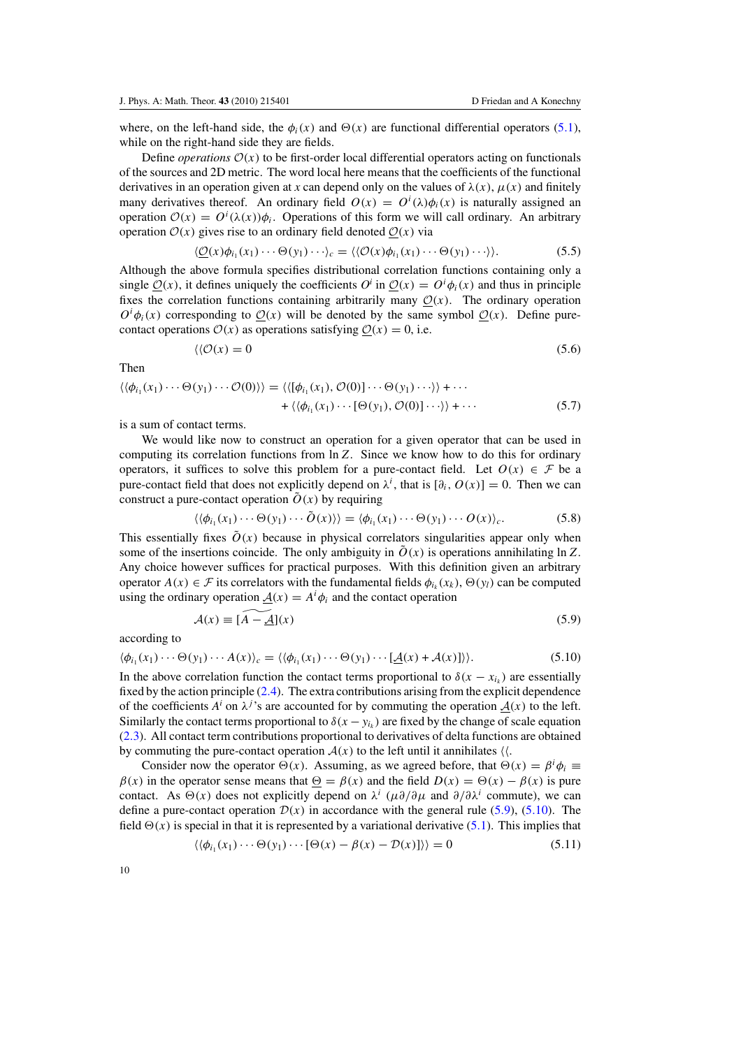<span id="page-9-0"></span>where, on the left-hand side, the  $\phi_i(x)$  and  $\Theta(x)$  are functional differential operators (5.[1\)](#page-8-0), while on the right-hand side they are fields.

Define *operations*  $O(x)$  to be first-order local differential operators acting on functionals of the sources and 2D metric. The word local here means that the coefficients of the functional derivatives in an operation given at *x* can depend only on the values of  $\lambda(x)$ ,  $\mu(x)$  and finitely many derivatives thereof. An ordinary field  $O(x) = O^{i}(\lambda)\phi_{i}(x)$  is naturally assigned an operation  $\mathcal{O}(x) = O^i(\lambda(x))\phi_i$ . Operations of this form we will call ordinary. An arbitrary operation  $O(x)$  gives rise to an ordinary field denoted  $O(x)$  via

$$
\langle \underline{\mathcal{O}}(x)\phi_{i_1}(x_1)\cdots\Theta(y_1)\cdots\rangle_c=\langle\langle \mathcal{O}(x)\phi_{i_1}(x_1)\cdots\Theta(y_1)\cdots\rangle\rangle.
$$
 (5.5)

Although the above formula specifies distributional correlation functions containing only a single  $Q(x)$ , it defines uniquely the coefficients  $O^i$  in  $Q(x) = O^i \phi_i(x)$  and thus in principle fixes the correlation functions containing arbitrarily many  $Q(x)$ . The ordinary operation  $O^i\phi_i(x)$  corresponding to  $O(x)$  will be denoted by the same symbol  $O(x)$ . Define purecontact operations  $O(x)$  as operations satisfying  $O(x) = 0$ , i.e.

$$
\langle \langle \mathcal{O}(x) = 0 \tag{5.6}
$$

Then

$$
\langle \langle \phi_{i_1}(x_1) \cdots \Theta(y_1) \cdots \mathcal{O}(0) \rangle \rangle = \langle \langle [\phi_{i_1}(x_1), \mathcal{O}(0)] \cdots \Theta(y_1) \cdots \rangle \rangle + \cdots + \langle \langle \phi_{i_1}(x_1) \cdots [\Theta(y_1), \mathcal{O}(0)] \cdots \rangle \rangle + \cdots
$$
(5.7)

is a sum of contact terms.

We would like now to construct an operation for a given operator that can be used in computing its correlation functions from ln*Z*. Since we know how to do this for ordinary operators, it suffices to solve this problem for a pure-contact field. Let  $O(x) \in \mathcal{F}$  be a pure-contact field that does not explicitly depend on  $\lambda^i$ , that is  $[\partial_i, O(x)] = 0$ . Then we can construct a pure-contact operation  $\tilde{O}(x)$  by requiring

$$
\langle \langle \phi_{i_1}(x_1) \cdots \Theta(y_1) \cdots \tilde{O}(x) \rangle \rangle = \langle \phi_{i_1}(x_1) \cdots \Theta(y_1) \cdots O(x) \rangle_c.
$$
 (5.8)

This essentially fixes  $\tilde{O}(x)$  because in physical correlators singularities appear only when some of the insertions coincide. The only ambiguity in  $\tilde{O}(x)$  is operations annihilating ln Z. Any choice however suffices for practical purposes. With this definition given an arbitrary operator  $A(x) \in \mathcal{F}$  its correlators with the fundamental fields  $\phi_{i_k}(x_k), \Theta(y_l)$  can be computed using the ordinary operation  $\underline{A}(x) = A^i \phi_i$  and the contact operation

$$
\mathcal{A}(x) \equiv \widetilde{[A - \underline{\mathcal{A}}]}(x) \tag{5.9}
$$

according to

$$
\langle \phi_{i_1}(x_1)\cdots \Theta(y_1)\cdots A(x)\rangle_c = \langle \langle \phi_{i_1}(x_1)\cdots \Theta(y_1)\cdots [\underline{\mathcal{A}}(x) + \mathcal{A}(x)]\rangle \rangle.
$$
 (5.10)

In the above correlation function the contact terms proportional to  $\delta(x - x_i)$  are essentially fixed by the action principle (2*.*[4\)](#page-3-0). The extra contributions arising from the explicit dependence of the coefficients  $A^i$  on  $\lambda^j$ 's are accounted for by commuting the operation  $A(x)$  to the left. Similarly the contact terms proportional to  $\delta(x - y_{i_k})$  are fixed by the change of scale equation [\(2](#page-3-0)*.*3). All contact term contributions proportional to derivatives of delta functions are obtained by commuting the pure-contact operation  $A(x)$  to the left until it annihilates  $\langle \langle . \rangle$ .

Consider now the operator  $\Theta(x)$ . Assuming, as we agreed before, that  $\Theta(x) = \beta^i \phi_i \equiv$  $\beta(x)$  in the operator sense means that  $\Theta = \beta(x)$  and the field  $D(x) = \Theta(x) - \beta(x)$  is pure contact. As  $\Theta(x)$  does not explicitly depend on  $\lambda^i$  ( $\mu \partial/\partial \mu$  and  $\partial/\partial \lambda^i$  commute), we can define a pure-contact operation  $D(x)$  in accordance with the general rule (5.9), (5.10). The field  $\Theta(x)$  is special in that it is represented by a variational derivative (5.[1\)](#page-8-0). This implies that

$$
\langle \langle \phi_{i_1}(x_1) \cdots \Theta(y_1) \cdots [\Theta(x) - \beta(x) - \mathcal{D}(x)] \rangle \rangle = 0 \tag{5.11}
$$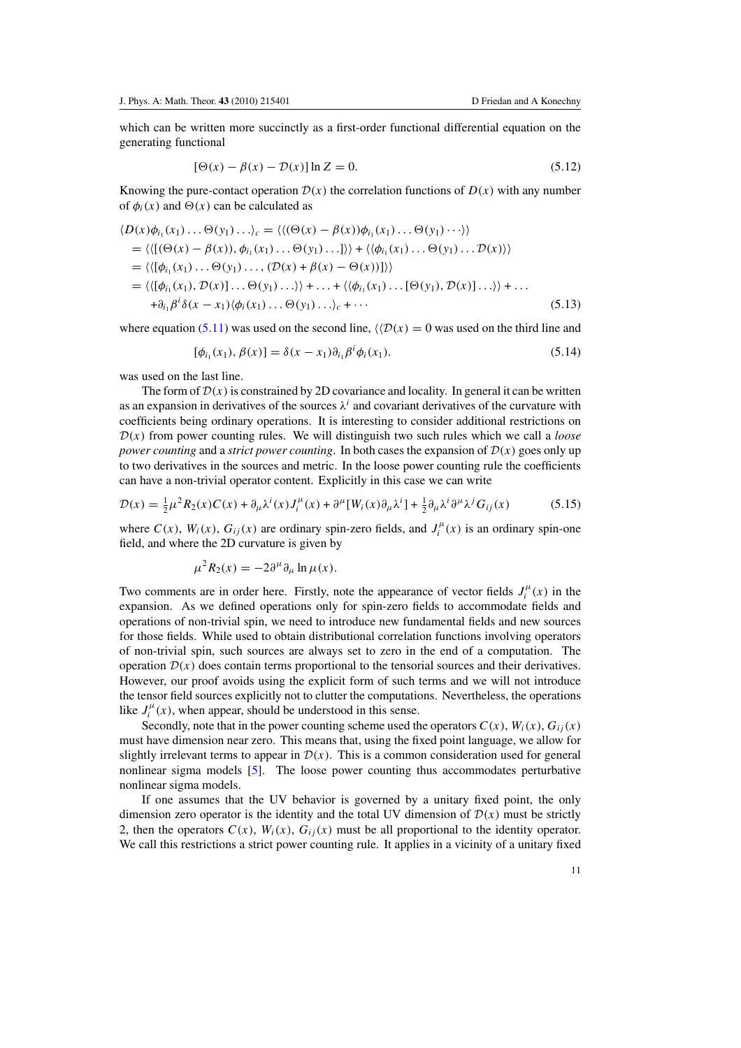<span id="page-10-0"></span>which can be written more succinctly as a first-order functional differential equation on the generating functional

$$
[\Theta(x) - \beta(x) - \mathcal{D}(x)] \ln Z = 0. \tag{5.12}
$$

Knowing the pure-contact operation  $D(x)$  the correlation functions of  $D(x)$  with any number of  $\phi_i(x)$  and  $\Theta(x)$  can be calculated as

$$
\langle D(x)\phi_{i_1}(x_1)\dots\Theta(y_1)\dots\rangle_c = \langle \langle (\Theta(x)-\beta(x))\phi_{i_1}(x_1)\dots\Theta(y_1)\dots\rangle \rangle
$$
  
\n
$$
= \langle \langle [(\Theta(x)-\beta(x)),\phi_{i_1}(x_1)\dots\Theta(y_1)\dots] \rangle \rangle + \langle \langle \phi_{i_1}(x_1)\dots\Theta(y_1)\dots\mathcal{D}(x) \rangle \rangle
$$
  
\n
$$
= \langle \langle [\phi_{i_1}(x_1)\dots\Theta(y_1)\dots\Theta(y_1)\dots\rangle + \dots + \langle \langle \phi_{i_1}(x_1)\dots[\Theta(y_1),\mathcal{D}(x)]\dots\rangle \rangle + \dots
$$
  
\n
$$
+ \partial_{i_1}\beta^i\delta(x-x_1)\langle \phi_i(x_1)\dots\Theta(y_1)\dots\rangle_c + \dots
$$
\n(5.13)

where equation (5.[11\)](#page-9-0) was used on the second line,  $\langle D(x) \rangle = 0$  was used on the third line and

$$
[\phi_{i_1}(x_1), \beta(x)] = \delta(x - x_1)\partial_{i_1}\beta^i\phi_i(x_1).
$$
\n(5.14)

was used on the last line.

The form of  $\mathcal{D}(x)$  is constrained by 2D covariance and locality. In general it can be written as an expansion in derivatives of the sources  $\lambda^{i}$  and covariant derivatives of the curvature with coefficients being ordinary operations. It is interesting to consider additional restrictions on  $D(x)$  from power counting rules. We will distinguish two such rules which we call a *loose power counting* and a *strict power counting*. In both cases the expansion of  $\mathcal{D}(x)$  goes only up to two derivatives in the sources and metric. In the loose power counting rule the coefficients can have a non-trivial operator content. Explicitly in this case we can write

$$
\mathcal{D}(x) = \frac{1}{2}\mu^2 R_2(x)C(x) + \partial_\mu \lambda^i(x)J_i^\mu(x) + \partial^\mu [W_i(x)\partial_\mu \lambda^i] + \frac{1}{2}\partial_\mu \lambda^i \partial^\mu \lambda^j G_{ij}(x) \tag{5.15}
$$

where  $C(x)$ ,  $W_i(x)$ ,  $G_{ij}(x)$  are ordinary spin-zero fields, and  $J_i^{\mu}(x)$  is an ordinary spin-one field, and where the 2D curvature is given by

$$
\mu^2 R_2(x) = -2\partial^\mu \partial_\mu \ln \mu(x).
$$

Two comments are in order here. Firstly, note the appearance of vector fields  $J_i^{\mu}(x)$  in the expansion. As we defined operations only for spin-zero fields to accommodate fields and operations of non-trivial spin, we need to introduce new fundamental fields and new sources for those fields. While used to obtain distributional correlation functions involving operators of non-trivial spin, such sources are always set to zero in the end of a computation. The operation  $\mathcal{D}(x)$  does contain terms proportional to the tensorial sources and their derivatives. However, our proof avoids using the explicit form of such terms and we will not introduce the tensor field sources explicitly not to clutter the computations. Nevertheless, the operations like  $J_i^{\mu}(x)$ , when appear, should be understood in this sense.

Secondly, note that in the power counting scheme used the operators  $C(x)$ ,  $W_i(x)$ ,  $G_{ij}(x)$ must have dimension near zero. This means that, using the fixed point language, we allow for slightly irrelevant terms to appear in  $\mathcal{D}(x)$ . This is a common consideration used for general nonlinear sigma models [\[5](#page-27-0)]. The loose power counting thus accommodates perturbative nonlinear sigma models.

If one assumes that the UV behavior is governed by a unitary fixed point, the only dimension zero operator is the identity and the total UV dimension of  $\mathcal{D}(x)$  must be strictly 2, then the operators  $C(x)$ ,  $W_i(x)$ ,  $G_{ii}(x)$  must be all proportional to the identity operator. We call this restrictions a strict power counting rule. It applies in a vicinity of a unitary fixed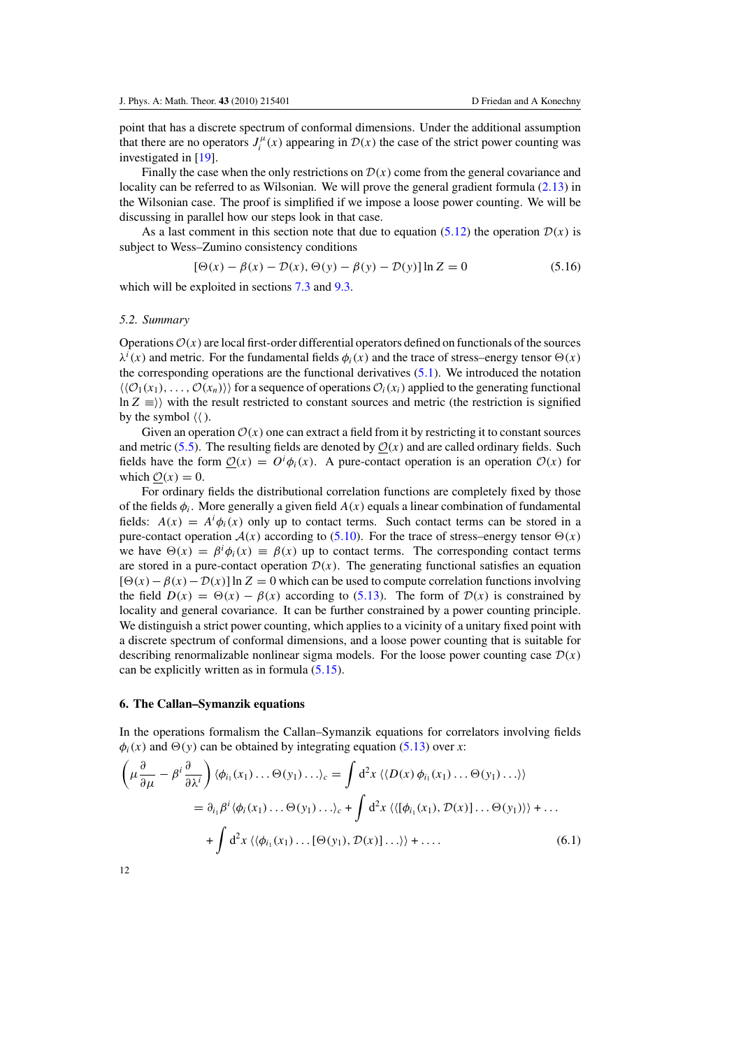<span id="page-11-0"></span>point that has a discrete spectrum of conformal dimensions. Under the additional assumption that there are no operators  $J_i^{\mu}(x)$  appearing in  $\mathcal{D}(x)$  the case of the strict power counting was investigated in [\[19\]](#page-27-0).

Finally the case when the only restrictions on  $D(x)$  come from the general covariance and locality can be referred to as Wilsonian. We will prove the general gradient formula (2*.*[13\)](#page-4-0) in the Wilsonian case. The proof is simplified if we impose a loose power counting. We will be discussing in parallel how our steps look in that case.

As a last comment in this section note that due to equation  $(5.12)$  $(5.12)$  the operation  $\mathcal{D}(x)$  is subject to Wess–Zumino consistency conditions

$$
[\Theta(x) - \beta(x) - \mathcal{D}(x), \Theta(y) - \beta(y) - \mathcal{D}(y)] \ln Z = 0 \tag{5.16}
$$

which will be exploited in sections [7.3](#page-16-0) and [9.3.](#page-22-0)

#### *5.2. Summary*

Operations  $O(x)$  are local first-order differential operators defined on functionals of the sources  $\lambda^{i}(x)$  and metric. For the fundamental fields  $\phi_{i}(x)$  and the trace of stress–energy tensor  $\Theta(x)$ the corresponding operations are the functional derivatives [\(5](#page-8-0)*.*1). We introduced the notation  $\langle\langle \mathcal{O}_1(x_1), \ldots, \mathcal{O}(x_n) \rangle\rangle$  for a sequence of operations  $\mathcal{O}_i(x_i)$  applied to the generating functional  $\ln Z \equiv \rangle$ ) with the result restricted to constant sources and metric (the restriction is signified by the symbol  $\langle \rangle$ .

Given an operation  $\mathcal{O}(x)$  one can extract a field from it by restricting it to constant sources and metric [\(5](#page-9-0).5). The resulting fields are denoted by  $\mathcal{O}(x)$  and are called ordinary fields. Such fields have the form  $Q(x) = O^i \phi_i(x)$ . A pure-contact operation is an operation  $O(x)$  for which  $\mathcal{O}(x) = 0$ .

For ordinary fields the distributional correlation functions are completely fixed by those of the fields  $\phi_i$ . More generally a given field  $A(x)$  equals a linear combination of fundamental fields:  $A(x) = A^{i} \phi_{i}(x)$  only up to contact terms. Such contact terms can be stored in a pure-contact operation  $A(x)$  according to (5.[10\)](#page-9-0). For the trace of stress–energy tensor  $\Theta(x)$ we have  $\Theta(x) = \beta^i \phi_i(x) \equiv \beta(x)$  up to contact terms. The corresponding contact terms are stored in a pure-contact operation  $\mathcal{D}(x)$ . The generating functional satisfies an equation  $[Θ(x) – β(x) – D(x)]$  ln *Z* = 0 which can be used to compute correlation functions involving the field  $D(x) = \Theta(x) - \beta(x)$  according to (5.[13\)](#page-10-0). The form of  $D(x)$  is constrained by locality and general covariance. It can be further constrained by a power counting principle. We distinguish a strict power counting, which applies to a vicinity of a unitary fixed point with a discrete spectrum of conformal dimensions, and a loose power counting that is suitable for describing renormalizable nonlinear sigma models. For the loose power counting case  $D(x)$ can be explicitly written as in formula (5*.*[15\)](#page-10-0).

#### **6. The Callan–Symanzik equations**

In the operations formalism the Callan–Symanzik equations for correlators involving fields  $\phi_i(x)$  and  $\Theta(y)$  can be obtained by integrating equation (5.[13\)](#page-10-0) over *x*:

$$
\left(\mu \frac{\partial}{\partial \mu} - \beta^i \frac{\partial}{\partial \lambda^i}\right) \langle \phi_{i_1}(x_1) \dots \Theta(y_1) \dots \rangle_c = \int d^2x \langle \langle D(x) \phi_{i_1}(x_1) \dots \Theta(y_1) \dots \rangle \rangle
$$
  
\n
$$
= \partial_{i_1} \beta^i \langle \phi_i(x_1) \dots \Theta(y_1) \dots \rangle_c + \int d^2x \langle \langle [\phi_{i_1}(x_1), \mathcal{D}(x)] \dots \Theta(y_1) \rangle \rangle + \dots
$$
  
\n
$$
+ \int d^2x \langle \langle \phi_{i_1}(x_1) \dots [\Theta(y_1), \mathcal{D}(x)] \dots \rangle \rangle + \dots
$$
\n(6.1)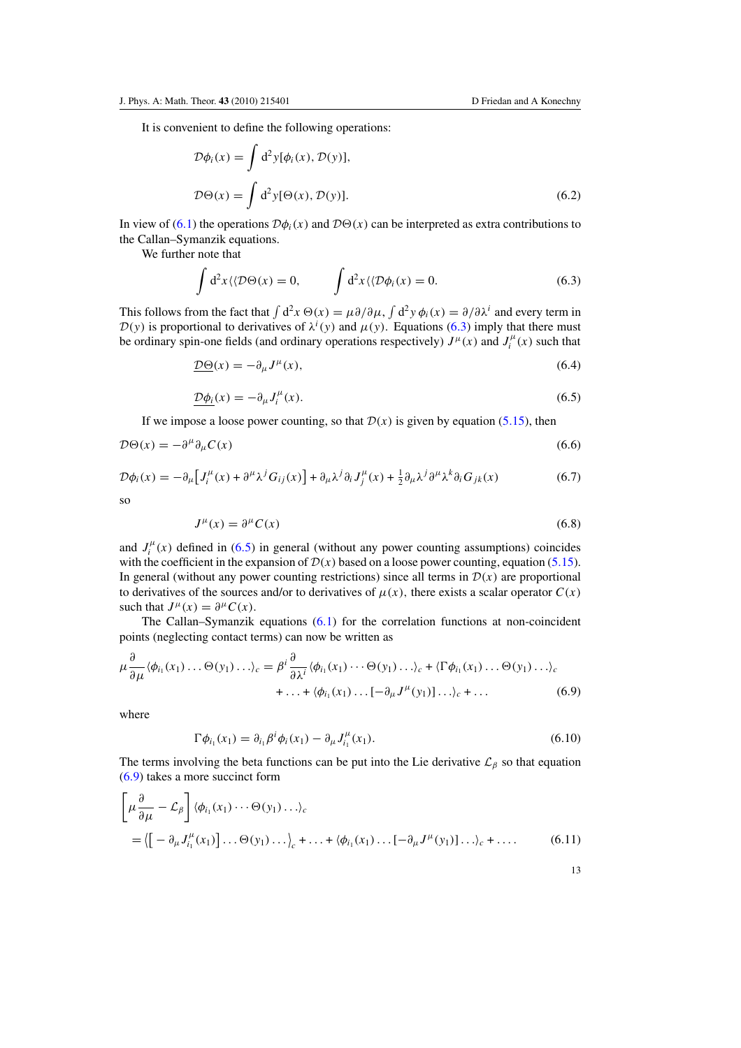<span id="page-12-0"></span>It is convenient to define the following operations:

$$
\mathcal{D}\phi_i(x) = \int d^2y [\phi_i(x), \mathcal{D}(y)],
$$
  

$$
\mathcal{D}\Theta(x) = \int d^2y [\Theta(x), \mathcal{D}(y)].
$$
 (6.2)

In view of (6.[1\)](#page-11-0) the operations  $\mathcal{D}\phi_i(x)$  and  $\mathcal{D}\Theta(x)$  can be interpreted as extra contributions to the Callan–Symanzik equations.

We further note that

$$
\int d^2x \langle \langle \mathcal{D}\Theta(x) = 0, \int d^2x \langle \langle \mathcal{D}\phi_i(x) = 0. \tag{6.3}
$$

This follows from the fact that  $\int d^2x \, \Theta(x) = \mu \partial/\partial \mu$ ,  $\int d^2y \, \phi_i(x) = \partial/\partial \lambda^i$  and every term in  $\mathcal{D}(y)$  is proportional to derivatives of  $\lambda^{i}(y)$  and  $\mu(y)$ . Equations (6.3) imply that there must be ordinary spin-one fields (and ordinary operations respectively)  $J^{\mu}(x)$  and  $J_i^{\mu}(x)$  such that

$$
\underline{\mathcal{D}\Theta}(x) = -\partial_{\mu}J^{\mu}(x),\tag{6.4}
$$

$$
\underline{\mathcal{D}\phi_i}(x) = -\partial_\mu J_i^\mu(x). \tag{6.5}
$$

If we impose a loose power counting, so that  $D(x)$  is given by equation (5.[15\)](#page-10-0), then

$$
\mathcal{D}\Theta(x) = -\partial^{\mu}\partial_{\mu}C(x) \tag{6.6}
$$

$$
\mathcal{D}\phi_i(x) = -\partial_\mu \left[ J_i^\mu(x) + \partial^\mu \lambda^j G_{ij}(x) \right] + \partial_\mu \lambda^j \partial_i J_j^\mu(x) + \frac{1}{2} \partial_\mu \lambda^j \partial^\mu \lambda^k \partial_i G_{jk}(x) \tag{6.7}
$$

so

$$
J^{\mu}(x) = \partial^{\mu} C(x) \tag{6.8}
$$

and  $J_i^{\mu}(x)$  defined in (6.5) in general (without any power counting assumptions) coincides with the coefficient in the expansion of  $D(x)$  based on a loose power counting, equation (5.[15\)](#page-10-0). In general (without any power counting restrictions) since all terms in  $D(x)$  are proportional to derivatives of the sources and/or to derivatives of  $\mu(x)$ , there exists a scalar operator  $C(x)$ such that  $J^{\mu}(x) = \partial^{\mu} C(x)$ .

The Callan–Symanzik equations [\(6](#page-11-0)*.*1) for the correlation functions at non-coincident points (neglecting contact terms) can now be written as

$$
\mu \frac{\partial}{\partial \mu} \langle \phi_{i_1}(x_1) \dots \Theta(y_1) \dots \rangle_c = \beta^i \frac{\partial}{\partial \lambda^i} \langle \phi_{i_1}(x_1) \dots \Theta(y_1) \dots \rangle_c + \langle \Gamma \phi_{i_1}(x_1) \dots \Theta(y_1) \dots \rangle_c + \dots + \langle \phi_{i_1}(x_1) \dots [-\partial_\mu J^\mu(y_1)] \dots \rangle_c + \dots
$$
(6.9)

where

$$
\Gamma \phi_{i_1}(x_1) = \partial_{i_1} \beta^i \phi_i(x_1) - \partial_{\mu} J^{\mu}_{i_1}(x_1).
$$
\n
$$
(6.10)
$$

The terms involving the beta functions can be put into the Lie derivative  $\mathcal{L}_{\beta}$  so that equation (6*.*9) takes a more succinct form

$$
\left[\mu \frac{\partial}{\partial \mu} - \mathcal{L}_{\beta}\right] \langle \phi_{i_1}(x_1) \cdots \Theta(y_1) \dots \rangle_c
$$
  
=  $\left( \left[ - \partial_{\mu} J_{i_1}^{\mu}(x_1) \right] \dots \Theta(y_1) \dots \right)_{c} + \dots + \langle \phi_{i_1}(x_1) \dots \left[ - \partial_{\mu} J^{\mu}(y_1) \right] \dots \rangle_c + \dots$  (6.11)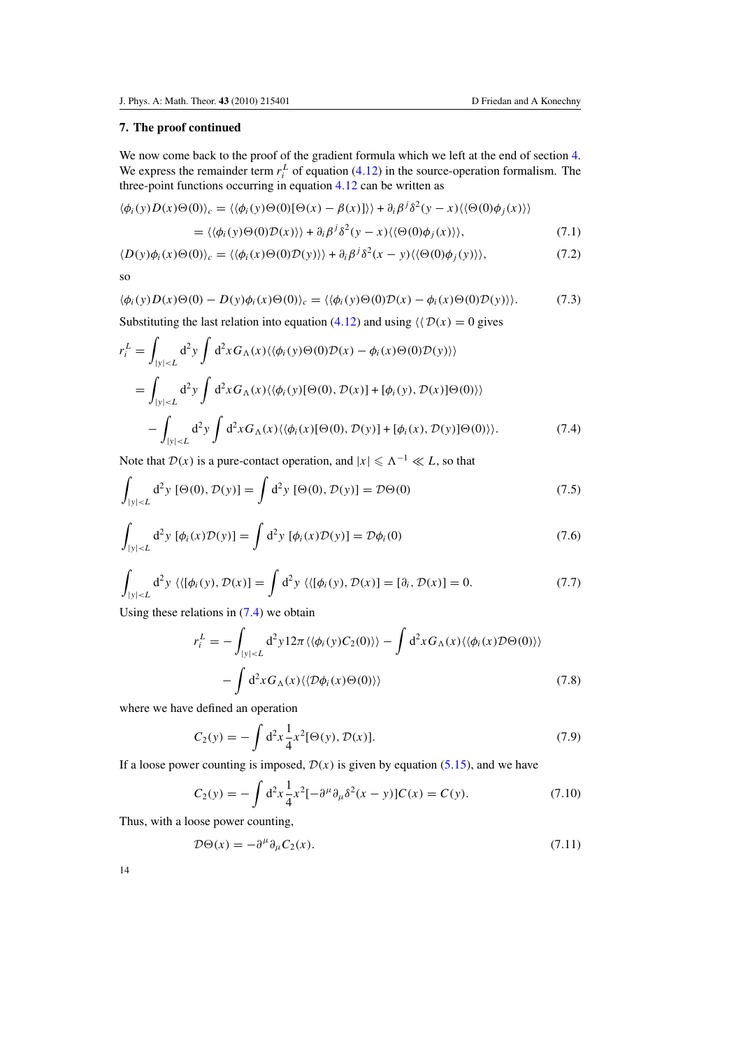### <span id="page-13-0"></span>**7. The proof continued**

We now come back to the proof of the gradient formula which we left at the end of section [4.](#page-6-0) We express the remainder term  $r_i^L$  of equation (4.[12\)](#page-7-0) in the source-operation formalism. The three-point functions occurring in equation 4*.*[12](#page-7-0) can be written as

$$
\langle \phi_i(y)D(x)\Theta(0)\rangle_c = \langle \langle \phi_i(y)\Theta(0)[\Theta(x) - \beta(x)]\rangle \rangle + \partial_i \beta^j \delta^2(y - x) \langle \langle \Theta(0)\phi_j(x)\rangle \rangle
$$
  
= 
$$
\langle \langle \phi_i(y)\Theta(0)D(x)\rangle \rangle + \partial_i \beta^j \delta^2(y - x) \langle \langle \Theta(0)\phi_j(x)\rangle \rangle, \tag{7.1}
$$

$$
\langle D(y)\phi_i(x)\Theta(0)\rangle_c = \langle \langle \phi_i(x)\Theta(0)\mathcal{D}(y)\rangle \rangle + \partial_i \beta^j \delta^2(x-y) \langle \langle \Theta(0)\phi_j(y)\rangle \rangle, \tag{7.2}
$$

so

$$
\langle \phi_i(y)D(x)\Theta(0) - D(y)\phi_i(x)\Theta(0)\rangle_c = \langle \langle \phi_i(y)\Theta(0)D(x) - \phi_i(x)\Theta(0)D(y)\rangle \rangle.
$$
 (7.3)

Substituting the last relation into equation (4.[12\)](#page-7-0) and using  $\langle \langle D(x) = 0 \rangle$  gives

$$
r_i^L = \int_{|y| < L} d^2 y \int d^2 x G_\Lambda(x) \langle \langle \phi_i(y) \Theta(0) \mathcal{D}(x) - \phi_i(x) \Theta(0) \mathcal{D}(y) \rangle \rangle
$$
\n
$$
= \int_{|y| < L} d^2 y \int d^2 x G_\Lambda(x) \langle \langle \phi_i(y) [\Theta(0), \mathcal{D}(x)] + [\phi_i(y), \mathcal{D}(x)] \Theta(0) \rangle \rangle
$$
\n
$$
- \int_{|y| < L} d^2 y \int d^2 x G_\Lambda(x) \langle \langle \phi_i(x) [\Theta(0), \mathcal{D}(y)] + [\phi_i(x), \mathcal{D}(y)] \Theta(0) \rangle \rangle. \tag{7.4}
$$

Note that  $\mathcal{D}(x)$  is a pure-contact operation, and  $|x| \le \Lambda^{-1} \ll L$ , so that

$$
\int_{|y|
$$

$$
\int_{|y|
$$

$$
\int_{|y|
$$

Using these relations in (7*.*4) we obtain

$$
r_i^L = -\int_{|y| < L} d^2 y 12\pi \langle \langle \phi_i(y) C_2(0) \rangle \rangle - \int d^2 x G_\Lambda(x) \langle \langle \phi_i(x) \mathcal{D}\Theta(0) \rangle \rangle
$$

$$
- \int d^2 x G_\Lambda(x) \langle \langle \mathcal{D}\phi_i(x)\Theta(0) \rangle \rangle \tag{7.8}
$$

where we have defined an operation

$$
C_2(y) = -\int d^2x \frac{1}{4} x^2 [\Theta(y), \mathcal{D}(x)].
$$
\n(7.9)

If a loose power counting is imposed,  $D(x)$  is given by equation (5.[15\)](#page-10-0), and we have

$$
C_2(y) = -\int d^2x \frac{1}{4} x^2 [-\partial^\mu \partial_\mu \delta^2(x - y)] C(x) = C(y). \tag{7.10}
$$

Thus, with a loose power counting,

$$
\mathcal{D}\Theta(x) = -\partial^{\mu}\partial_{\mu}C_{2}(x). \tag{7.11}
$$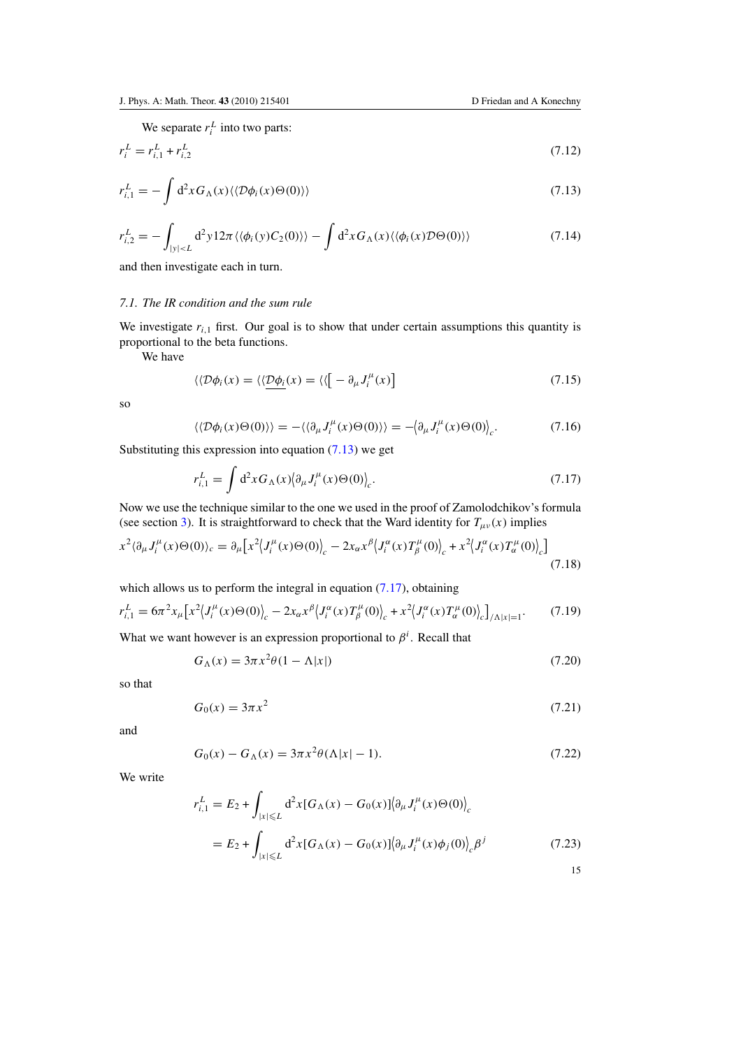<span id="page-14-0"></span>We separate  $r_i^L$  into two parts:

$$
r_i^L = r_{i,1}^L + r_{i,2}^L \tag{7.12}
$$

$$
r_{i,1}^{L} = -\int d^{2}x G_{\Lambda}(x) \langle \langle \mathcal{D}\phi_{i}(x)\Theta(0)\rangle \rangle \tag{7.13}
$$

$$
r_{i,2}^L = -\int_{|y|
$$

and then investigate each in turn.

### *7.1. The IR condition and the sum rule*

We investigate  $r_{i,1}$  first. Our goal is to show that under certain assumptions this quantity is proportional to the beta functions.

We have

$$
\langle \langle \mathcal{D}\phi_i(x) \rangle = \langle \langle \underline{\mathcal{D}\phi_i}(x) \rangle = \langle \langle \big[ -\partial_\mu J_i^\mu(x) \big] \rangle \tag{7.15}
$$

so

$$
\langle \langle \mathcal{D}\phi_i(x)\Theta(0)\rangle \rangle = -\langle \langle \partial_\mu J_i^\mu(x)\Theta(0)\rangle \rangle = -\langle \partial_\mu J_i^\mu(x)\Theta(0)\rangle_c. \tag{7.16}
$$

Substituting this expression into equation (7*.*13) we get

$$
r_{i,1}^L = \int d^2x G_{\Lambda}(x) \langle \partial_{\mu} J_i^{\mu}(x) \Theta(0) \rangle_c.
$$
 (7.17)

Now we use the technique similar to the one we used in the proof of Zamolodchikov's formula (see section [3\)](#page-5-0). It is straightforward to check that the Ward identity for  $T_{\mu\nu}(x)$  implies

$$
x^2 \langle \partial_\mu J_i^\mu(x) \Theta(0) \rangle_c = \partial_\mu \big[ x^2 \langle J_i^\mu(x) \Theta(0) \rangle_c - 2x_\alpha x^\beta \langle J_i^\alpha(x) T_\beta^\mu(0) \rangle_c + x^2 \langle J_i^\alpha(x) T_\alpha^\mu(0) \rangle_c \big]
$$
(7.18)

which allows us to perform the integral in equation (7*.*17), obtaining

$$
r_{i,1}^L = 6\pi^2 x_\mu \big[ x^2 \big\langle J_i^\mu(x) \Theta(0) \big\rangle_c - 2x_\alpha x^\beta \big\langle J_i^\alpha(x) T_\beta^\mu(0) \big\rangle_c + x^2 \big\langle J_i^\alpha(x) T_\alpha^\mu(0) \big\rangle_c \big]_{/\Lambda |x| = 1}.
$$
 (7.19)

What we want however is an expression proportional to  $\beta^i$ . Recall that

$$
G_{\Lambda}(x) = 3\pi x^2 \theta (1 - \Lambda |x|)
$$
\n(7.20)

so that

$$
G_0(x) = 3\pi x^2 \tag{7.21}
$$

and

$$
G_0(x) - G_{\Lambda}(x) = 3\pi x^2 \theta(\Lambda|x| - 1).
$$
 (7.22)

We write

$$
r_{i,1}^{L} = E_{2} + \int_{|x| \le L} d^{2}x [G_{\Lambda}(x) - G_{0}(x)] \langle \partial_{\mu} J_{i}^{\mu}(x) \Theta(0) \rangle_{c}
$$
  
=  $E_{2} + \int_{|x| \le L} d^{2}x [G_{\Lambda}(x) - G_{0}(x)] \langle \partial_{\mu} J_{i}^{\mu}(x) \phi_{j}(0) \rangle_{c} \beta^{j}$  (7.23)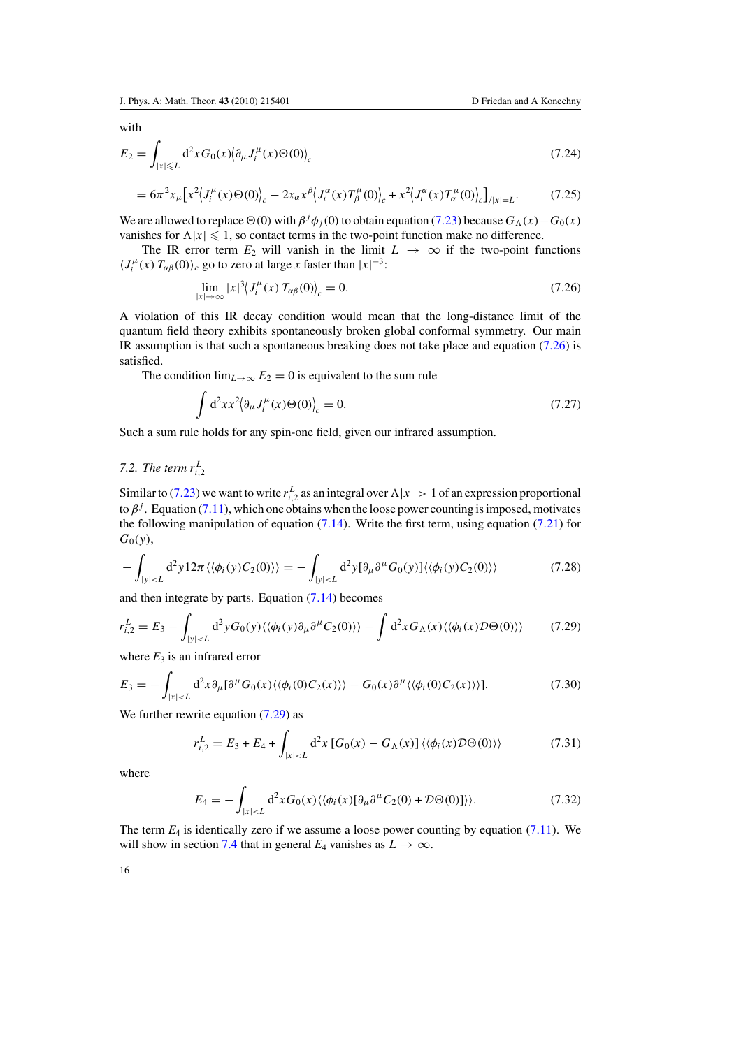<span id="page-15-0"></span>with

$$
E_2 = \int_{|x| \le L} d^2x G_0(x) \langle \partial_\mu J_i^\mu(x) \Theta(0) \rangle_c \tag{7.24}
$$

$$
=6\pi^{2}x_{\mu}\left[x^{2}\left\langle J_{i}^{\mu}(x)\Theta(0)\right\rangle _{c}-2x_{\alpha}x^{\beta}\left\langle J_{i}^{\alpha}(x)T_{\beta}^{\mu}(0)\right\rangle _{c}+x^{2}\left\langle J_{i}^{\alpha}(x)T_{\alpha}^{\mu}(0)\right\rangle _{c}\right]_{/|x|=L}.\tag{7.25}
$$

We are allowed to replace  $\Theta(0)$  with  $\beta^{j}\phi_{j}(0)$  to obtain equation (7.[23\)](#page-14-0) because  $G_{\Lambda}(x) - G_{0}(x)$ vanishes for  $\Lambda |x| \leq 1$ , so contact terms in the two-point function make no difference.

The IR error term  $E_2$  will vanish in the limit  $L \rightarrow \infty$  if the two-point functions  $\langle J_i^{\mu}(x) T_{\alpha\beta}(0) \rangle_c$  go to zero at large *x* faster than  $|x|^{-3}$ :

$$
\lim_{|x| \to \infty} |x|^3 \langle J_i^{\mu}(x) T_{\alpha \beta}(0) \rangle_c = 0. \tag{7.26}
$$

A violation of this IR decay condition would mean that the long-distance limit of the quantum field theory exhibits spontaneously broken global conformal symmetry. Our main IR assumption is that such a spontaneous breaking does not take place and equation (7*.*26) is satisfied.

The condition  $\lim_{L\to\infty} E_2 = 0$  is equivalent to the sum rule

$$
\int d^2x x^2 \langle \partial_\mu J_i^\mu(x) \Theta(0) \rangle_c = 0. \tag{7.27}
$$

Such a sum rule holds for any spin-one field, given our infrared assumption.

## *7.2. The term*  $r_{i,2}^L$

Similar to (7.[23\)](#page-14-0) we want to write  $r_{i,2}^L$  as an integral over  $\Lambda |x| > 1$  of an expression proportional to  $\beta$ <sup>*j*</sup>. Equation (7.[11\)](#page-13-0), which one obtains when the loose power counting is imposed, motivates the following manipulation of equation (7*.*[14\)](#page-14-0). Write the first term, using equation (7*.*[21\)](#page-14-0) for *G*0*(y)*,

$$
-\int_{|y|
$$

and then integrate by parts. Equation (7*.*[14\)](#page-14-0) becomes

$$
r_{i,2}^L = E_3 - \int_{|y| < L} d^2 y G_0(y) \langle \langle \phi_i(y) \partial_\mu \partial^\mu C_2(0) \rangle \rangle - \int d^2 x G_\Lambda(x) \langle \langle \phi_i(x) \mathcal{D} \Theta(0) \rangle \rangle \tag{7.29}
$$

where  $E_3$  is an infrared error

$$
E_3 = -\int_{|x|
$$

We further rewrite equation (7*.*29) as

$$
r_{i,2}^L = E_3 + E_4 + \int_{|x| < L} d^2x \left[ G_0(x) - G_\Lambda(x) \right] \langle \langle \phi_i(x) \mathcal{D}\Theta(0) \rangle \rangle \tag{7.31}
$$

where

$$
E_4 = -\int_{|x| < L} \mathrm{d}^2 x \, G_0(x) \langle \langle \phi_i(x) [\partial_\mu \partial^\mu C_2(0) + \mathcal{D}\Theta(0)] \rangle \rangle. \tag{7.32}
$$

The term *E*<sup>4</sup> is identically zero if we assume a loose power counting by equation (7*.*[11\)](#page-13-0). We will show in section [7.4](#page-17-0) that in general  $E_4$  vanishes as  $L \to \infty$ .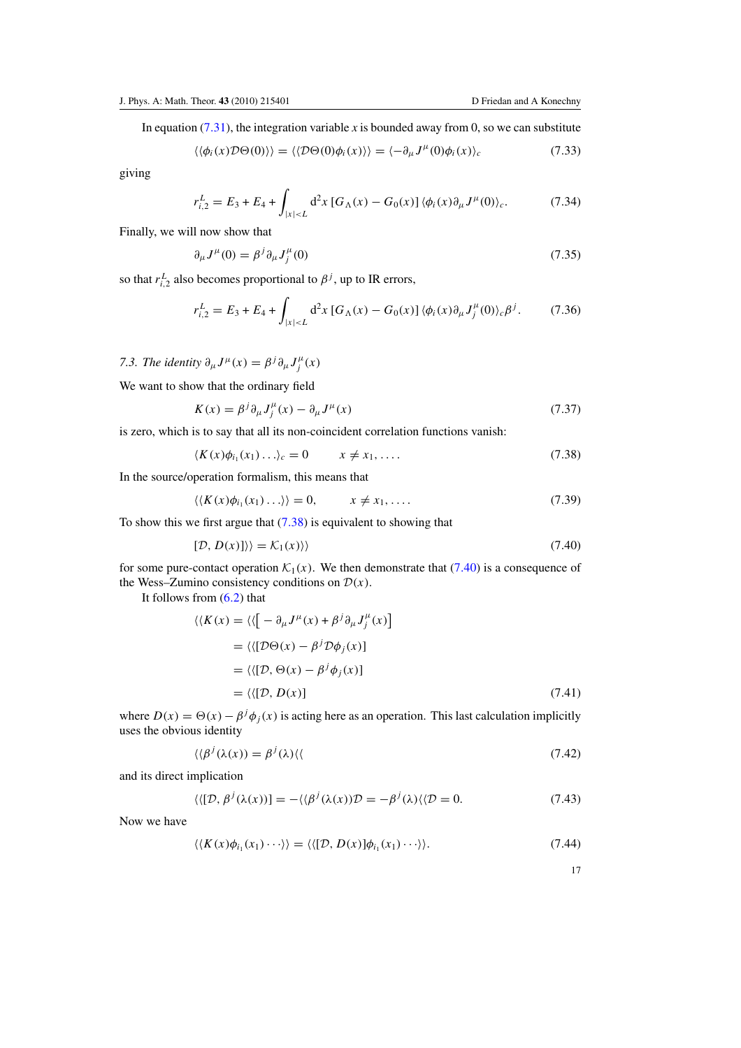<span id="page-16-0"></span>In equation (7.[31\)](#page-15-0), the integration variable  $x$  is bounded away from 0, so we can substitute

$$
\langle \langle \phi_i(x) \mathcal{D} \Theta(0) \rangle \rangle = \langle \langle \mathcal{D} \Theta(0) \phi_i(x) \rangle \rangle = \langle -\partial_\mu J^\mu(0) \phi_i(x) \rangle_c \tag{7.33}
$$

giving

$$
r_{i,2}^L = E_3 + E_4 + \int_{|x| < L} d^2 x \left[ G_\Lambda(x) - G_0(x) \right] \langle \phi_i(x) \partial_\mu J^\mu(0) \rangle_c. \tag{7.34}
$$

Finally, we will now show that

$$
\partial_{\mu}J^{\mu}(0) = \beta^{j}\partial_{\mu}J_{j}^{\mu}(0) \tag{7.35}
$$

so that  $r_{i,2}^L$  also becomes proportional to  $\beta^j$ , up to IR errors,

$$
r_{i,2}^L = E_3 + E_4 + \int_{|x| < L} d^2 x \left[ G_\Lambda(x) - G_0(x) \right] \langle \phi_i(x) \partial_\mu J_j^\mu(0) \rangle_c \beta^j. \tag{7.36}
$$

*7.3. The identity*  $\partial_{\mu}J^{\mu}(x) = \beta^{j}\partial_{\mu}J_{j}^{\mu}(x)$ 

We want to show that the ordinary field

$$
K(x) = \beta^{j} \partial_{\mu} J_{j}^{\mu}(x) - \partial_{\mu} J^{\mu}(x)
$$
\n(7.37)

is zero, which is to say that all its non-coincident correlation functions vanish:

$$
\langle K(x)\phi_{i_1}(x_1)\ldots\rangle_c=0 \qquad x\neq x_1,\ldots. \qquad (7.38)
$$

In the source/operation formalism, this means that

$$
\langle K(x)\phi_{i_1}(x_1)\ldots\rangle\rangle = 0, \qquad x \neq x_1,\ldots. \qquad (7.39)
$$

To show this we first argue that (7*.*38) is equivalent to showing that

$$
[D, D(x)]\rangle = \mathcal{K}_1(x)\rangle \tag{7.40}
$$

for some pure-contact operation  $\mathcal{K}_1(x)$ . We then demonstrate that (7.40) is a consequence of the Wess–Zumino consistency conditions on  $\mathcal{D}(x)$ .

It follows from [\(6](#page-12-0)*.*2) that

$$
\langle K(x) \rangle = \langle \langle \big[ -\partial_{\mu} J^{\mu}(x) + \beta^{j} \partial_{\mu} J_{j}^{\mu}(x) \big] \rangle
$$
  
\n
$$
= \langle \langle [D\Theta(x) - \beta^{j} D\phi_{j}(x)] \rangle
$$
  
\n
$$
= \langle \langle [D, \Theta(x) - \beta^{j} \phi_{j}(x)] \rangle
$$
  
\n
$$
= \langle \langle [D, D(x)] \rangle
$$
 (7.41)

where  $D(x) = \Theta(x) - \beta^{j} \phi_{j}(x)$  is acting here as an operation. This last calculation implicitly uses the obvious identity

$$
\langle \langle \beta^j(\lambda(x)) = \beta^j(\lambda) \langle \langle \tag{7.42} \rangle
$$

and its direct implication

$$
\langle \langle [D, \beta^{j}(\lambda(x))] \rangle = -\langle \langle \beta^{j}(\lambda(x))D \rangle = -\beta^{j}(\lambda) \rangle = 0. \tag{7.43}
$$

Now we have

$$
\langle\langle K(x)\phi_{i_1}(x_1)\cdots\rangle\rangle=\langle\langle [D,D(x)]\phi_{i_1}(x_1)\cdots\rangle\rangle.
$$
 (7.44)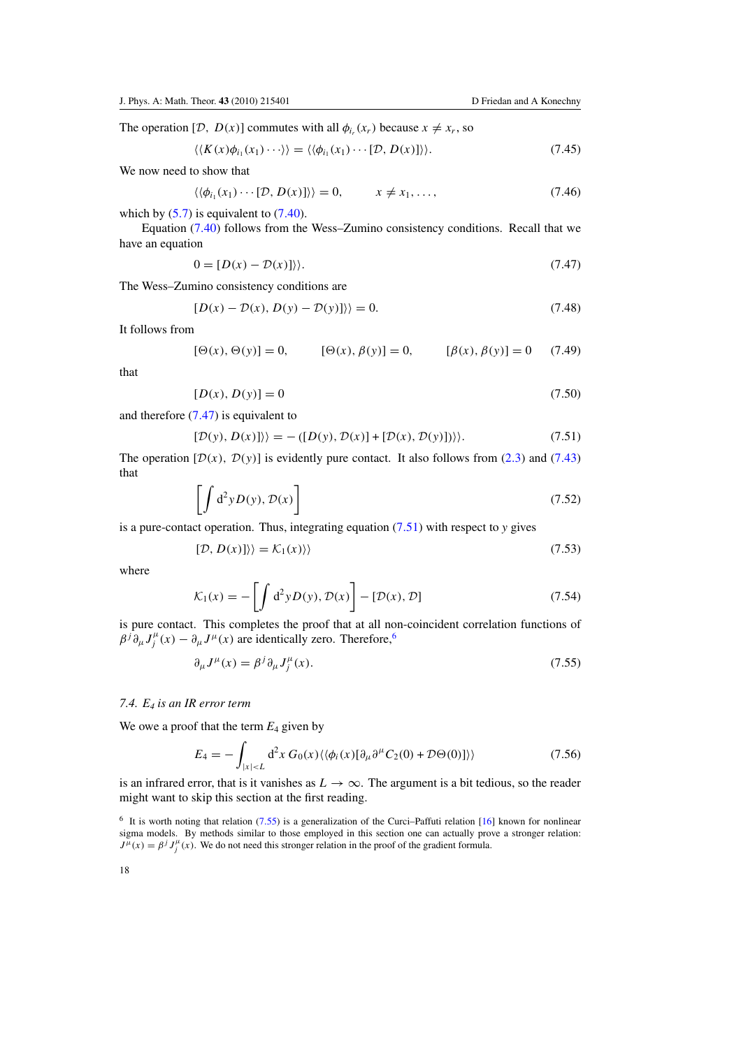<span id="page-17-0"></span>The operation [D,  $D(x)$ ] commutes with all  $\phi_{i_r}(x_r)$  because  $x \neq x_r$ , so

$$
\langle\langle K(x)\phi_{i_1}(x_1)\cdots\rangle\rangle=\langle\langle\phi_{i_1}(x_1)\cdots[\mathcal{D},D(x)]\rangle\rangle.
$$
 (7.45)

We now need to show that

$$
\langle \langle \phi_{i_1}(x_1) \cdots [D, D(x)] \rangle \rangle = 0, \qquad x \neq x_1, \ldots,
$$
\n(7.46)

which by  $(5.7)$  $(5.7)$  is equivalent to  $(7.40)$  $(7.40)$ .

Equation (7*.*[40\)](#page-16-0) follows from the Wess–Zumino consistency conditions. Recall that we have an equation

$$
0 = [D(x) - D(x)]\rangle.
$$
 (7.47)

The Wess–Zumino consistency conditions are

$$
[D(x) - \mathcal{D}(x), D(y) - \mathcal{D}(y)]\rangle = 0.
$$
\n(7.48)

It follows from

$$
[\Theta(x), \Theta(y)] = 0,
$$
  $[\Theta(x), \beta(y)] = 0,$   $[\beta(x), \beta(y)] = 0$  (7.49)

that

$$
[D(x), D(y)] = 0 \t\t(7.50)
$$

and therefore (7*.*47) is equivalent to

$$
[\mathcal{D}(y), D(x)]\rangle = -([D(y), \mathcal{D}(x)] + [\mathcal{D}(x), \mathcal{D}(y)]\rangle).
$$
 (7.51)

The operation  $[D(x), D(y)]$  is evidently pure contact. It also follows from (2.[3\)](#page-3-0) and (7.[43\)](#page-16-0) that

$$
\left[\int d^2y D(y), \mathcal{D}(x)\right] \tag{7.52}
$$

is a pure-contact operation. Thus, integrating equation (7*.*51) with respect to *y* gives

$$
[D, D(x)]\rangle = \mathcal{K}_1(x)\rangle\tag{7.53}
$$

where

$$
\mathcal{K}_1(x) = -\left[\int d^2 y D(y), \mathcal{D}(x)\right] - [\mathcal{D}(x), \mathcal{D}] \tag{7.54}
$$

is pure contact. This completes the proof that at all non-coincident correlation functions of  $\beta^{j}$  $\partial_{\mu} J^{\mu}_{j}(x) - \partial_{\mu} J^{\mu}(x)$  are identically zero. Therefore,<sup>6</sup>

$$
\partial_{\mu}J^{\mu}(x) = \beta^{j}\partial_{\mu}J_{j}^{\mu}(x). \tag{7.55}
$$

### *7.4. E4 is an IR error term*

We owe a proof that the term *E*<sup>4</sup> given by

$$
E_4 = -\int_{|x| < L} d^2 x \ G_0(x) \langle \langle \phi_i(x) [\partial_\mu \partial^\mu C_2(0) + \mathcal{D}\Theta(0)] \rangle \rangle \tag{7.56}
$$

is an infrared error, that is it vanishes as  $L \to \infty$ . The argument is a bit tedious, so the reader might want to skip this section at the first reading.

<sup>&</sup>lt;sup>6</sup> It is worth noting that relation (7.55) is a generalization of the Curci–Paffuti relation [\[16\]](#page-27-0) known for nonlinear sigma models. By methods similar to those employed in this section one can actually prove a stronger relation:<br> $J^{\mu}(x) = \beta^{j} J^{\mu}_{j}(x)$ . We do not need this stronger relation in the proof of the gradient formula.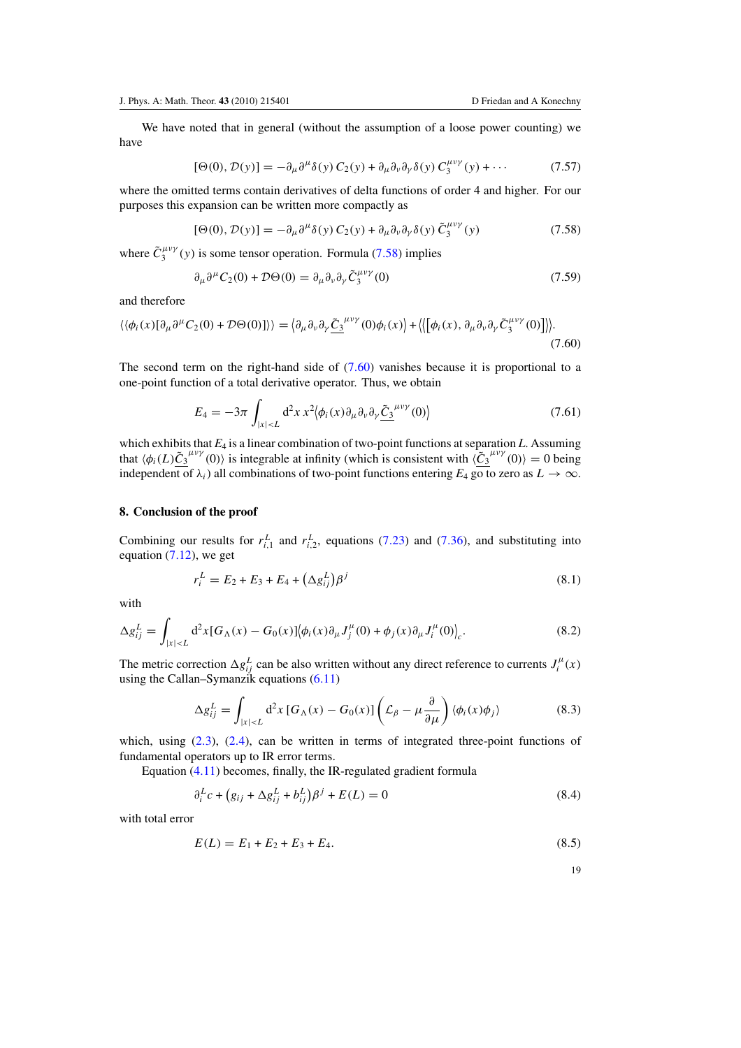<span id="page-18-0"></span>We have noted that in general (without the assumption of a loose power counting) we have

$$
[\Theta(0), \mathcal{D}(y)] = -\partial_{\mu}\partial^{\mu}\delta(y) C_{2}(y) + \partial_{\mu}\partial_{\nu}\partial_{\gamma}\delta(y) C_{3}^{\mu\nu\gamma}(y) + \cdots
$$
 (7.57)

where the omitted terms contain derivatives of delta functions of order 4 and higher. For our purposes this expansion can be written more compactly as

$$
[\Theta(0), \mathcal{D}(y)] = -\partial_{\mu}\partial^{\mu}\delta(y) C_{2}(y) + \partial_{\mu}\partial_{\nu}\partial_{\gamma}\delta(y) \tilde{C}_{3}^{\mu\nu\gamma}(y)
$$
(7.58)

where  $\tilde{C}_3^{\mu\nu\gamma}(y)$  is some tensor operation. Formula (7.58) implies

$$
\partial_{\mu}\partial^{\mu}C_{2}(0) + \mathcal{D}\Theta(0) = \partial_{\mu}\partial_{\nu}\partial_{\gamma}\tilde{C}_{3}^{\mu\nu\gamma}(0)
$$
\n(7.59)

and therefore

$$
\langle \langle \phi_i(x)[\partial_\mu \partial^\mu C_2(0) + \mathcal{D}\Theta(0)] \rangle \rangle = \langle \partial_\mu \partial_\nu \partial_\gamma \underline{\tilde{C}_3}^{\mu\nu\gamma}(0)\phi_i(x) \rangle + \langle \langle [\phi_i(x), \partial_\mu \partial_\nu \partial_\gamma \tilde{C}_3^{\mu\nu\gamma}(0)] \rangle \rangle. \tag{7.60}
$$

The second term on the right-hand side of (7*.*60) vanishes because it is proportional to a one-point function of a total derivative operator. Thus, we obtain

$$
E_4 = -3\pi \int_{|x| < L} d^2 x \, x^2 \langle \phi_i(x) \partial_\mu \partial_\nu \partial_\gamma \underline{\tilde{C}_3}^{\mu\nu\gamma}(0) \rangle \tag{7.61}
$$

which exhibits that *E*<sup>4</sup> is a linear combination of two-point functions at separation *L*. Assuming that  $\langle \phi_i(L)\tilde{C}_3^{\mu\nu\gamma}(0) \rangle$  is integrable at infinity (which is consistent with  $\langle \tilde{C}_3^{\mu\nu\gamma}(0) \rangle = 0$  being independent of  $\lambda_i$ ) all combinations of two-point functions entering  $E_4$  go to zero as  $L \to \infty$ .

#### **8. Conclusion of the proof**

Combining our results for  $r_{i,1}^L$  and  $r_{i,2}^L$ , equations (7.[23\)](#page-14-0) and (7.[36\)](#page-16-0), and substituting into equation (7*.*[12\)](#page-14-0), we get

$$
r_i^L = E_2 + E_3 + E_4 + (\Delta g_{ij}^L)\beta^j \tag{8.1}
$$

with

$$
\Delta g_{ij}^L = \int_{|x|\n(8.2)
$$

The metric correction  $\Delta g_{ij}^L$  can be also written without any direct reference to currents  $J_i^{\mu}(x)$ using the Callan–Symanzik equations (6*.*[11\)](#page-12-0)

$$
\Delta g_{ij}^L = \int_{|x| < L} d^2 x \left[ G_\Lambda(x) - G_0(x) \right] \left( \mathcal{L}_\beta - \mu \frac{\partial}{\partial \mu} \right) \langle \phi_i(x) \phi_j \rangle \tag{8.3}
$$

which, using  $(2.3)$  $(2.3)$ ,  $(2.4)$  $(2.4)$ , can be written in terms of integrated three-point functions of fundamental operators up to IR error terms.

Equation (4*.*[11\)](#page-7-0) becomes, finally, the IR-regulated gradient formula

$$
\partial_i^L c + \left(g_{ij} + \Delta g_{ij}^L + b_{ij}^L\right) \beta^j + E(L) = 0 \tag{8.4}
$$

with total error

$$
E(L) = E_1 + E_2 + E_3 + E_4. \tag{8.5}
$$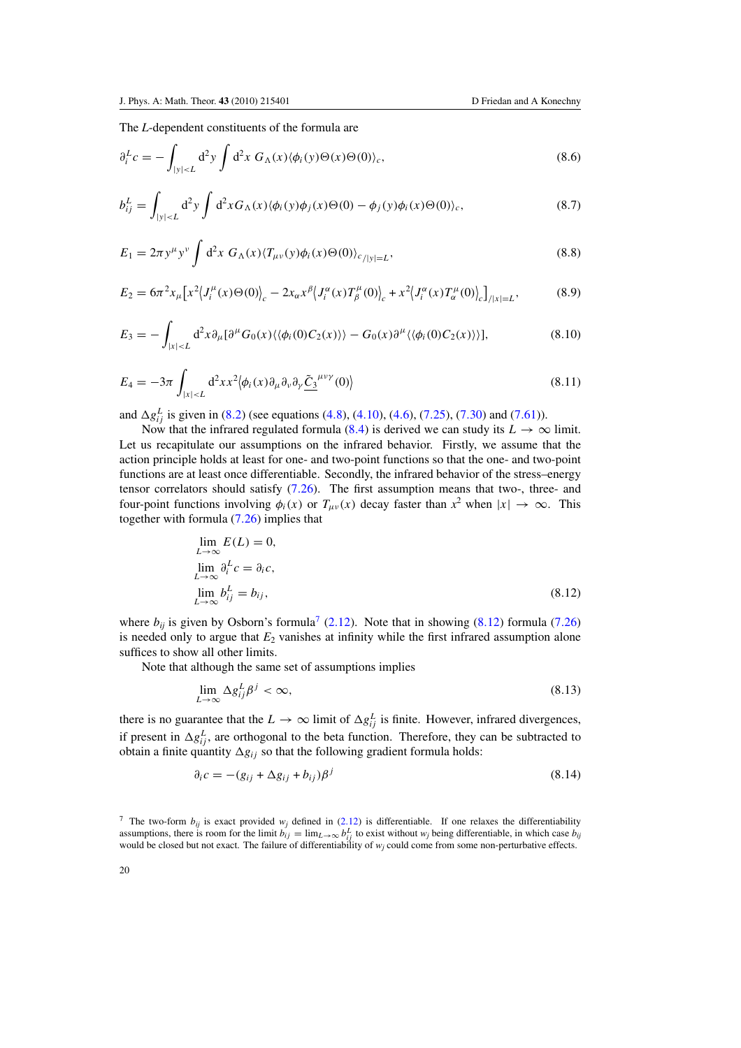<span id="page-19-0"></span>The *L*-dependent constituents of the formula are

$$
\partial_i^L c = -\int_{|y| < L} d^2 y \int d^2 x \ G_\Lambda(x) \langle \phi_i(y) \Theta(x) \Theta(0) \rangle_c,\tag{8.6}
$$

$$
b_{ij}^L = \int_{|y| < L} d^2 y \int d^2 x G_{\Lambda}(x) \langle \phi_i(y) \phi_j(x) \Theta(0) - \phi_j(y) \phi_i(x) \Theta(0) \rangle_c, \tag{8.7}
$$

$$
E_1 = 2\pi y^{\mu} y^{\nu} \int d^2 x \ G_{\Lambda}(x) \langle T_{\mu\nu}(y)\phi_i(x)\Theta(0)\rangle_{c/|y|=L},
$$
\n(8.8)

$$
E_2 = 6\pi^2 x_\mu \big[ x^2 \big< J_i^\mu(x) \Theta(0) \big>_c - 2x_\alpha x^\beta \big< J_i^\alpha(x) T_\beta^\mu(0) \big>_c + x^2 \big< J_i^\alpha(x) T_\alpha^\mu(0) \big>_c \big]_{/|x|=L},\tag{8.9}
$$

$$
E_3 = -\int_{|x| < L} d^2x \partial_\mu [\partial^\mu G_0(x) \langle \langle \phi_i(0) C_2(x) \rangle \rangle - G_0(x) \partial^\mu \langle \langle \phi_i(0) C_2(x) \rangle \rangle],\tag{8.10}
$$

$$
E_4 = -3\pi \int_{|x|
$$

and  $\Delta g_{ij}^L$  is given in [\(8](#page-18-0).2) (see equations [\(4](#page-7-0).8), (4.[10\)](#page-7-0), (4.[6\)](#page-7-0), (7.[25\)](#page-15-0), (7.[30\)](#page-15-0) and (7.[61\)](#page-18-0)).

Now that the infrared regulated formula (8.[4\)](#page-18-0) is derived we can study its  $L \to \infty$  limit. Let us recapitulate our assumptions on the infrared behavior. Firstly, we assume that the action principle holds at least for one- and two-point functions so that the one- and two-point functions are at least once differentiable. Secondly, the infrared behavior of the stress–energy tensor correlators should satisfy (7*.*[26\)](#page-15-0). The first assumption means that two-, three- and four-point functions involving  $\phi_i(x)$  or  $T_{\mu\nu}(x)$  decay faster than  $x^2$  when  $|x| \to \infty$ . This together with formula (7*.*[26\)](#page-15-0) implies that

$$
\lim_{L \to \infty} E(L) = 0,
$$
  
\n
$$
\lim_{L \to \infty} \partial_i^L c = \partial_i c,
$$
  
\n
$$
\lim_{L \to \infty} b_{ij}^L = b_{ij},
$$
\n(8.12)

where  $b_{ij}$  is given by Osborn's formula<sup>7</sup> (2.[12\)](#page-4-0). Note that in showing (8.12) formula (7.[26\)](#page-15-0) is needed only to argue that  $E_2$  vanishes at infinity while the first infrared assumption alone suffices to show all other limits.

Note that although the same set of assumptions implies

$$
\lim_{L \to \infty} \Delta g_{ij}^L \beta^j < \infty,\tag{8.13}
$$

there is no guarantee that the  $L \to \infty$  limit of  $\Delta g_{ij}^L$  is finite. However, infrared divergences, if present in  $\Delta g_{ij}^L$ , are orthogonal to the beta function. Therefore, they can be subtracted to obtain a finite quantity  $\Delta g_{ij}$  so that the following gradient formula holds:

$$
\partial_i c = -(g_{ij} + \Delta g_{ij} + b_{ij})\beta^j \tag{8.14}
$$

<sup>&</sup>lt;sup>7</sup> The two-form  $b_{ij}$  is exact provided  $w_j$  defined in (2.[12\)](#page-4-0) is differentiable. If one relaxes the differentiability assumptions, there is room for the limit  $b_{ij} = \lim_{L \to \infty} b_{ij}^L$  to exist without  $w_j$  being differentiable, in which case  $b_{ij}$ would be closed but not exact. The failure of differentiability of  $w_i$  could come from some non-perturbative effects.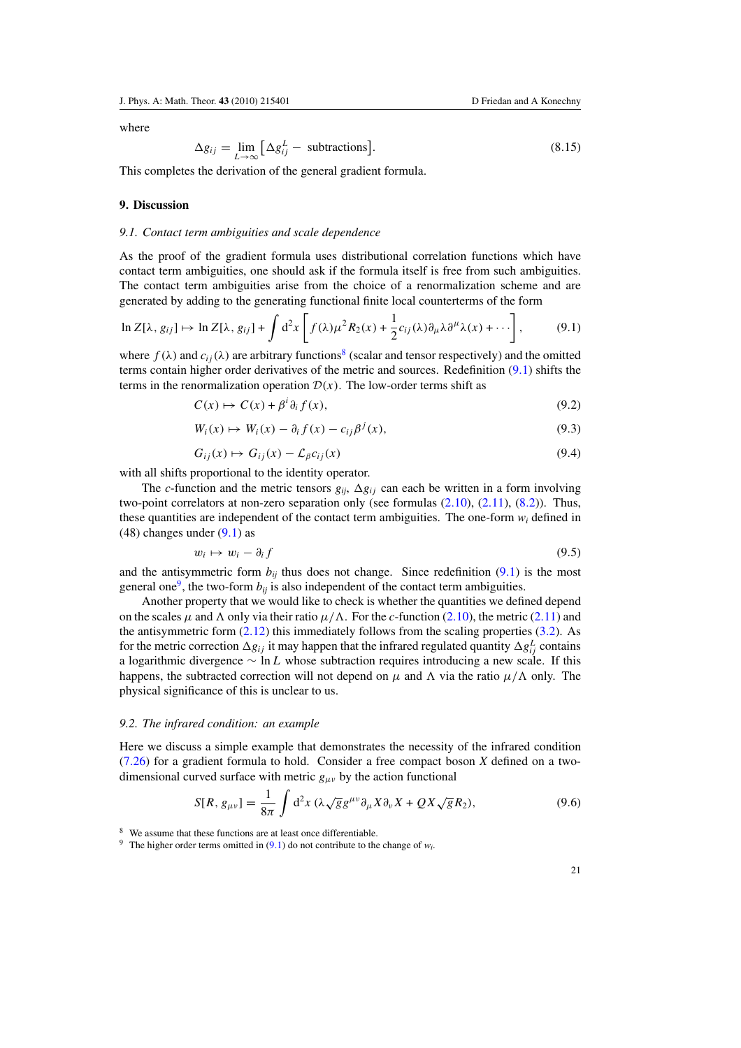<span id="page-20-0"></span>where

$$
\Delta g_{ij} = \lim_{L \to \infty} \left[ \Delta g_{ij}^L - \text{ subtractions} \right]. \tag{8.15}
$$

This completes the derivation of the general gradient formula.

#### **9. Discussion**

#### *9.1. Contact term ambiguities and scale dependence*

As the proof of the gradient formula uses distributional correlation functions which have contact term ambiguities, one should ask if the formula itself is free from such ambiguities. The contact term ambiguities arise from the choice of a renormalization scheme and are generated by adding to the generating functional finite local counterterms of the form

$$
\ln Z[\lambda, g_{ij}] \mapsto \ln Z[\lambda, g_{ij}] + \int d^2x \left[ f(\lambda) \mu^2 R_2(x) + \frac{1}{2} c_{ij}(\lambda) \partial_\mu \lambda \partial^\mu \lambda(x) + \cdots \right],\tag{9.1}
$$

where  $f(\lambda)$  and  $c_{ij}(\lambda)$  are arbitrary functions<sup>8</sup> (scalar and tensor respectively) and the omitted terms contain higher order derivatives of the metric and sources. Redefinition (9*.*1) shifts the terms in the renormalization operation  $\mathcal{D}(x)$ . The low-order terms shift as

$$
C(x) \mapsto C(x) + \beta^i \partial_i f(x), \tag{9.2}
$$

$$
W_i(x) \mapsto W_i(x) - \partial_i f(x) - c_{ij} \beta^j(x), \tag{9.3}
$$

$$
G_{ij}(x) \mapsto G_{ij}(x) - \mathcal{L}_{\beta} c_{ij}(x) \tag{9.4}
$$

with all shifts proportional to the identity operator.

The *c*-function and the metric tensors  $g_{ii}$ ,  $\Delta g_{ii}$  can each be written in a form involving two-point correlators at non-zero separation only (see formulas (2*.*[10\)](#page-4-0), (2*.*[11\)](#page-4-0), [\(8](#page-18-0)*.*2)). Thus, these quantities are independent of the contact term ambiguities. The one-form  $w_i$  defined in (48) changes under (9*.*1) as

$$
w_i \mapsto w_i - \partial_i f \tag{9.5}
$$

and the antisymmetric form  $b_{ij}$  thus does not change. Since redefinition (9.1) is the most general one<sup>9</sup>, the two-form  $b_{ij}$  is also independent of the contact term ambiguities.

Another property that we would like to check is whether the quantities we defined depend on the scales  $\mu$  and  $\Lambda$  only via their ratio  $\mu/\Lambda$ . For the *c*-function (2.[10\)](#page-4-0), the metric (2.[11\)](#page-4-0) and the antisymmetric form (2*.*[12\)](#page-4-0) this immediately follows from the scaling properties [\(3](#page-5-0)*.*2). As for the metric correction  $\Delta g_{ij}$  it may happen that the infrared regulated quantity  $\Delta g_{ij}^L$  contains a logarithmic divergence ∼ ln*L* whose subtraction requires introducing a new scale. If this happens, the subtracted correction will not depend on  $\mu$  and  $\Lambda$  via the ratio  $\mu/\Lambda$  only. The physical significance of this is unclear to us.

### *9.2. The infrared condition: an example*

Here we discuss a simple example that demonstrates the necessity of the infrared condition (7*.*[26\)](#page-15-0) for a gradient formula to hold. Consider a free compact boson *X* defined on a twodimensional curved surface with metric *gμν* by the action functional

$$
S[R, g_{\mu\nu}] = \frac{1}{8\pi} \int d^2x \, (\lambda \sqrt{g} g^{\mu\nu} \partial_\mu X \partial_\nu X + QX \sqrt{g} R_2), \tag{9.6}
$$

<sup>8</sup> We assume that these functions are at least once differentiable.

<sup>&</sup>lt;sup>9</sup> The higher order terms omitted in  $(9.1)$  do not contribute to the change of  $w_i$ .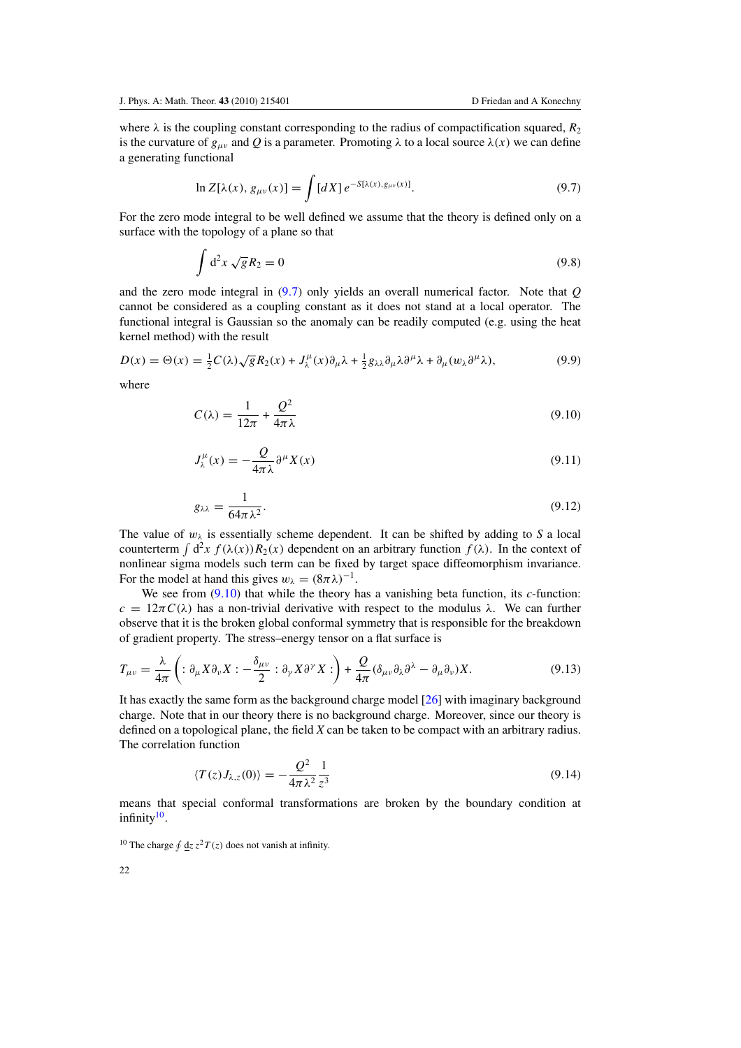where  $\lambda$  is the coupling constant corresponding to the radius of compactification squared,  $R_2$ is the curvature of  $g_{\mu\nu}$  and *Q* is a parameter. Promoting  $\lambda$  to a local source  $\lambda(x)$  we can define a generating functional

$$
\ln Z[\lambda(x), g_{\mu\nu}(x)] = \int [dX] \, e^{-S[\lambda(x), g_{\mu\nu}(x)]}.\tag{9.7}
$$

For the zero mode integral to be well defined we assume that the theory is defined only on a surface with the topology of a plane so that

$$
\int d^2x \sqrt{g} R_2 = 0 \tag{9.8}
$$

and the zero mode integral in (9*.*7) only yields an overall numerical factor. Note that *Q* cannot be considered as a coupling constant as it does not stand at a local operator. The functional integral is Gaussian so the anomaly can be readily computed (e.g. using the heat kernel method) with the result

$$
D(x) = \Theta(x) = \frac{1}{2}C(\lambda)\sqrt{g}R_2(x) + J_{\lambda}^{\mu}(x)\partial_{\mu}\lambda + \frac{1}{2}g_{\lambda\lambda}\partial_{\mu}\lambda\partial^{\mu}\lambda + \partial_{\mu}(w_{\lambda}\partial^{\mu}\lambda),
$$
(9.9)

where

$$
C(\lambda) = \frac{1}{12\pi} + \frac{Q^2}{4\pi\lambda} \tag{9.10}
$$

$$
J_{\lambda}^{\mu}(x) = -\frac{Q}{4\pi\lambda}\partial^{\mu}X(x)
$$
\n(9.11)

$$
g_{\lambda\lambda} = \frac{1}{64\pi\lambda^2}.\tag{9.12}
$$

The value of  $w_{\lambda}$  is essentially scheme dependent. It can be shifted by adding to *S* a local counterterm  $\int d^2x f(\lambda(x)) R_2(x)$  dependent on an arbitrary function  $f(\lambda)$ . In the context of nonlinear sigma models such term can be fixed by target space diffeomorphism invariance. For the model at hand this gives  $w_\lambda = (8\pi\lambda)^{-1}$ .

We see from (9.10) that while the theory has a vanishing beta function, its *c*-function.  $c = 12\pi C(\lambda)$  has a non-trivial derivative with respect to the modulus  $\lambda$ . We can further observe that it is the broken global conformal symmetry that is responsible for the breakdown of gradient property. The stress–energy tensor on a flat surface is

$$
T_{\mu\nu} = \frac{\lambda}{4\pi} \left( : \partial_{\mu} X \partial_{\nu} X : -\frac{\delta_{\mu\nu}}{2} : \partial_{\gamma} X \partial^{\gamma} X : \right) + \frac{Q}{4\pi} (\delta_{\mu\nu} \partial_{\lambda} \partial^{\lambda} - \partial_{\mu} \partial_{\nu}) X. \tag{9.13}
$$

It has exactly the same form as the background charge model [\[26\]](#page-27-0) with imaginary background charge. Note that in our theory there is no background charge. Moreover, since our theory is defined on a topological plane, the field *X* can be taken to be compact with an arbitrary radius. The correlation function

$$
\langle T(z)J_{\lambda,z}(0)\rangle = -\frac{Q^2}{4\pi\lambda^2} \frac{1}{z^3}
$$
\n(9.14)

means that special conformal transformations are broken by the boundary condition at infinity $10$ .

<sup>10</sup> The charge  $\oint$  dz  $z^2T(z)$  does not vanish at infinity.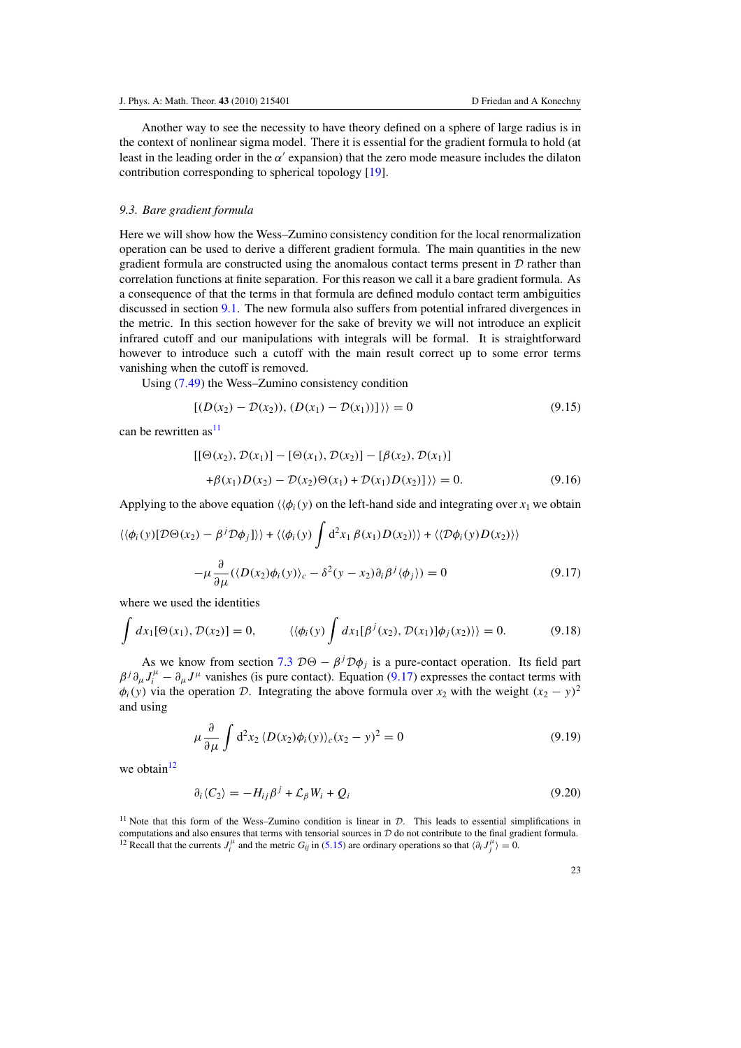<span id="page-22-0"></span>Another way to see the necessity to have theory defined on a sphere of large radius is in the context of nonlinear sigma model. There it is essential for the gradient formula to hold (at least in the leading order in the *α'* expansion) that the zero mode measure includes the dilaton contribution corresponding to spherical topology [\[19](#page-27-0)].

### *9.3. Bare gradient formula*

Here we will show how the Wess–Zumino consistency condition for the local renormalization operation can be used to derive a different gradient formula. The main quantities in the new gradient formula are constructed using the anomalous contact terms present in  $D$  rather than correlation functions at finite separation. For this reason we call it a bare gradient formula. As a consequence of that the terms in that formula are defined modulo contact term ambiguities discussed in section [9.1.](#page-20-0) The new formula also suffers from potential infrared divergences in the metric. In this section however for the sake of brevity we will not introduce an explicit infrared cutoff and our manipulations with integrals will be formal. It is straightforward however to introduce such a cutoff with the main result correct up to some error terms vanishing when the cutoff is removed.

Using (7*.*[49\)](#page-17-0) the Wess–Zumino consistency condition

$$
[(D(x2) - D(x2)), (D(x1) - D(x1))] \rangle = 0
$$
\n(9.15)

can be rewritten as<sup>11</sup>

$$
[[\Theta(x_2), \mathcal{D}(x_1)] - [\Theta(x_1), \mathcal{D}(x_2)] - [\beta(x_2), \mathcal{D}(x_1)]
$$
  
+ $\beta(x_1)D(x_2) - \mathcal{D}(x_2)\Theta(x_1) + \mathcal{D}(x_1)D(x_2)]\rangle = 0.$  (9.16)

Applying to the above equation  $\langle \phi_i(y) \rangle$  on the left-hand side and integrating over  $x_1$  we obtain

$$
\langle \langle \phi_i(y)[\mathcal{D}\Theta(x_2) - \beta^j \mathcal{D}\phi_j] \rangle \rangle + \langle \langle \phi_i(y) \int d^2 x_1 \beta(x_1) D(x_2) \rangle \rangle + \langle \langle \mathcal{D}\phi_i(y) D(x_2) \rangle \rangle
$$

$$
- \mu \frac{\partial}{\partial \mu} (\langle D(x_2)\phi_i(y) \rangle_c - \delta^2(y - x_2) \partial_i \beta^j \langle \phi_j \rangle) = 0 \tag{9.17}
$$

where we used the identities

$$
\int dx_1[\Theta(x_1), \mathcal{D}(x_2)] = 0, \qquad \langle \langle \phi_i(y) \int dx_1[\beta^j(x_2), \mathcal{D}(x_1)] \phi_j(x_2) \rangle \rangle = 0. \tag{9.18}
$$

As we know from section [7.3](#page-16-0)  $\mathcal{D}\Theta - \beta^j \mathcal{D}\phi_j$  is a pure-contact operation. Its field part  $\beta^j \partial_\mu J_i^\mu - \partial_\mu J^\mu$  vanishes (is pure contact). Equation (9.17) expresses the contact terms with  $\phi_i(y)$  via the operation D. Integrating the above formula over  $x_2$  with the weight  $(x_2 - y)^2$ and using

$$
\mu \frac{\partial}{\partial \mu} \int d^2 x_2 \langle D(x_2) \phi_i(y) \rangle_c (x_2 - y)^2 = 0 \tag{9.19}
$$

we obtain $12$ 

$$
\partial_i \langle C_2 \rangle = -H_{ij} \beta^j + \mathcal{L}_{\beta} W_i + Q_i \tag{9.20}
$$

<sup>11</sup> Note that this form of the Wess–Zumino condition is linear in D. This leads to essential simplifications in computations and also ensures that terms with tensorial sources in  $D$  do not contribute to the final gradient formula.<br><sup>12</sup> Recall that the currents  $J_i^{\mu}$  and the metric  $G_{ij}$  in (5.[15\)](#page-10-0) are ordinary operations so tha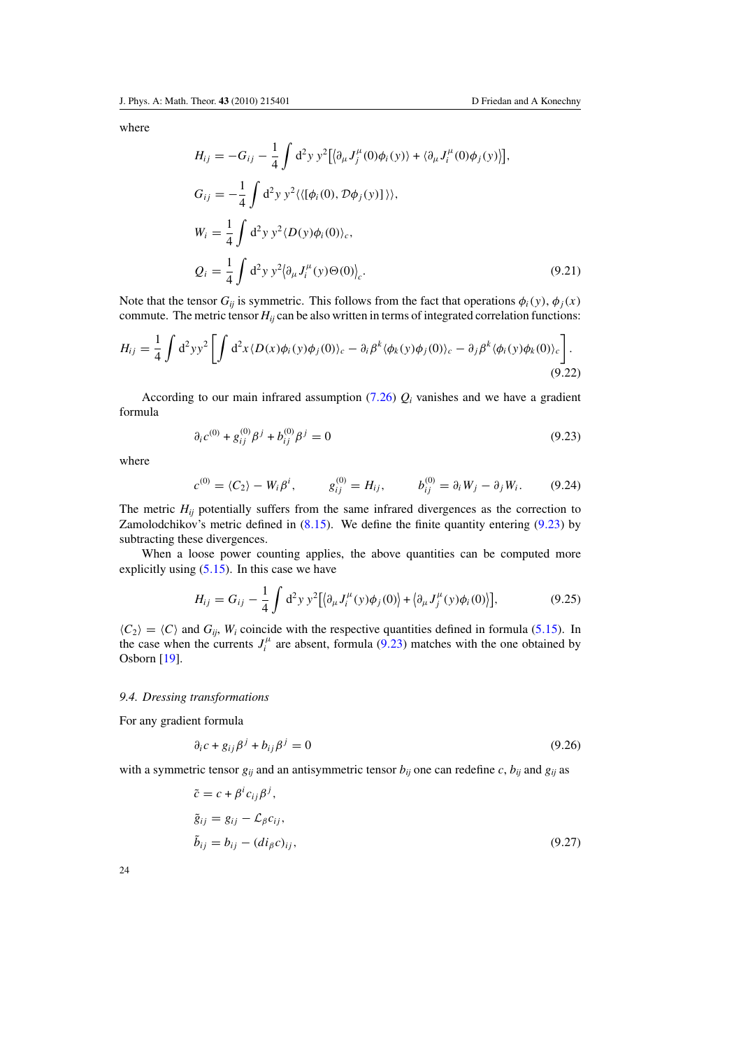<span id="page-23-0"></span>where

$$
H_{ij} = -G_{ij} - \frac{1}{4} \int d^2 y \, y^2 \left[ \langle \partial_\mu J_j^\mu(0) \phi_i(y) \rangle + \langle \partial_\mu J_i^\mu(0) \phi_j(y) \rangle \right],
$$
  
\n
$$
G_{ij} = -\frac{1}{4} \int d^2 y \, y^2 \langle \langle [\phi_i(0), D\phi_j(y)] \rangle \rangle,
$$
  
\n
$$
W_i = \frac{1}{4} \int d^2 y \, y^2 \langle D(y) \phi_i(0) \rangle_c,
$$
  
\n
$$
Q_i = \frac{1}{4} \int d^2 y \, y^2 \langle \partial_\mu J_i^\mu(y) \Theta(0) \rangle_c.
$$
\n(9.21)

Note that the tensor  $G_{ij}$  is symmetric. This follows from the fact that operations  $\phi_i(y)$ ,  $\phi_j(x)$ commute. The metric tensor  $H_{ij}$  can be also written in terms of integrated correlation functions:

$$
H_{ij} = \frac{1}{4} \int d^2 y y^2 \left[ \int d^2 x \langle D(x) \phi_i(y) \phi_j(0) \rangle_c - \partial_i \beta^k \langle \phi_k(y) \phi_j(0) \rangle_c - \partial_j \beta^k \langle \phi_i(y) \phi_k(0) \rangle_c \right].
$$
\n(9.22)

According to our main infrared assumption  $(7.26)$  $(7.26)$   $Q_i$  vanishes and we have a gradient formula

$$
\partial_i c^{(0)} + g_{ij}^{(0)} \beta^j + b_{ij}^{(0)} \beta^j = 0 \tag{9.23}
$$

where

$$
c^{(0)} = \langle C_2 \rangle - W_i \beta^i, \qquad g^{(0)}_{ij} = H_{ij}, \qquad b^{(0)}_{ij} = \partial_i W_j - \partial_j W_i. \qquad (9.24)
$$

The metric  $H_{ij}$  potentially suffers from the same infrared divergences as the correction to Zamolodchikov's metric defined in (8*.*[15\)](#page-20-0). We define the finite quantity entering (9*.*23) by subtracting these divergences.

When a loose power counting applies, the above quantities can be computed more explicitly using (5*.*[15\)](#page-10-0). In this case we have

$$
H_{ij} = G_{ij} - \frac{1}{4} \int d^2 y \, y^2 \left[ \langle \partial_\mu J_i^\mu(y) \phi_j(0) \rangle + \langle \partial_\mu J_j^\mu(y) \phi_i(0) \rangle \right],\tag{9.25}
$$

 $\langle C_2 \rangle = \langle C \rangle$  and  $G_{ij}$ ,  $W_i$  coincide with the respective quantities defined in formula (5.[15\)](#page-10-0). In the case when the currents  $J_i^{\mu}$  are absent, formula (9.23) matches with the one obtained by Osborn [\[19](#page-27-0)].

### *9.4. Dressing transformations*

For any gradient formula

$$
\partial_i c + g_{ij} \beta^j + b_{ij} \beta^j = 0 \tag{9.26}
$$

with a symmetric tensor  $g_{ij}$  and an antisymmetric tensor  $b_{ij}$  one can redefine *c*,  $b_{ij}$  and  $g_{ij}$  as

$$
\tilde{c} = c + \beta^{i} c_{ij} \beta^{j},
$$
  
\n
$$
\tilde{g}_{ij} = g_{ij} - \mathcal{L}_{\beta} c_{ij},
$$
  
\n
$$
\tilde{b}_{ij} = b_{ij} - (di_{\beta} c)_{ij},
$$
\n(9.27)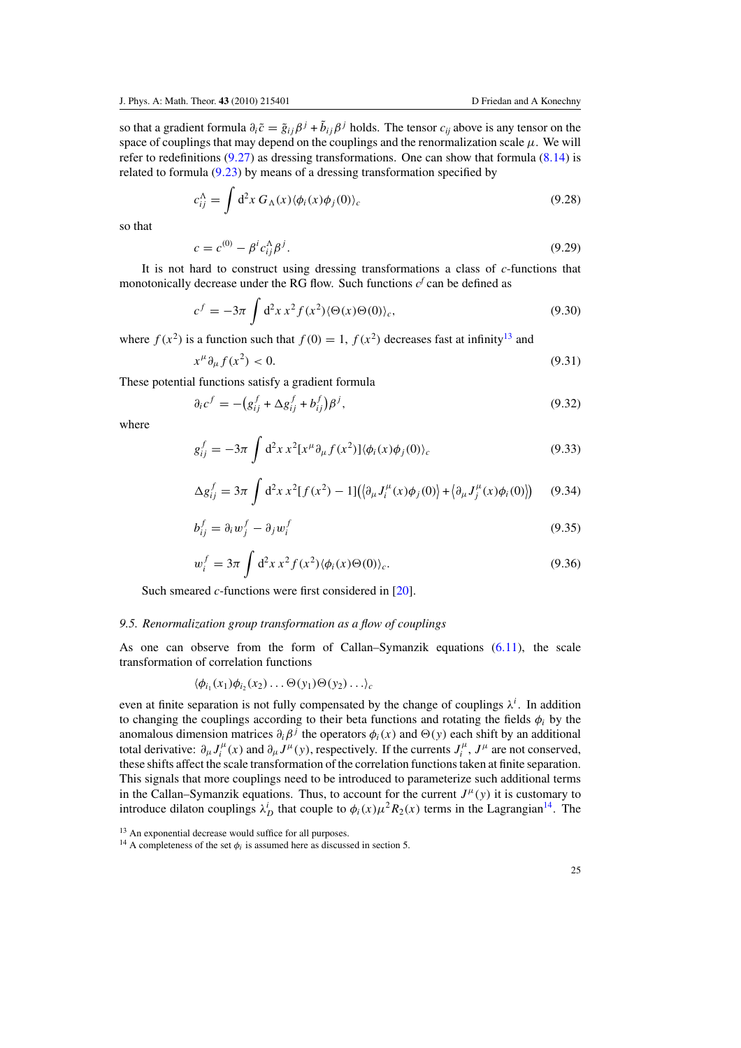<span id="page-24-0"></span>so that a gradient formula  $\partial_i \tilde{c} = \tilde{g}_{ij}\beta^j + \tilde{b}_{ij}\beta^j$  holds. The tensor  $c_{ij}$  above is any tensor on the space of couplings that may depend on the couplings and the renormalization scale  $\mu$ . We will refer to redefinitions (9*.*[27\)](#page-23-0) as dressing transformations. One can show that formula (8*.*[14\)](#page-19-0) is related to formula (9*.*[23\)](#page-23-0) by means of a dressing transformation specified by

$$
c_{ij}^{\Lambda} = \int d^2x \, G_{\Lambda}(x) \langle \phi_i(x) \phi_j(0) \rangle_c \tag{9.28}
$$

so that

$$
c = c^{(0)} - \beta^i c_{ij}^{\Lambda} \beta^j.
$$
 (9.29)

It is not hard to construct using dressing transformations a class of *c*-functions that monotonically decrease under the RG flow. Such functions  $c^f$  can be defined as

$$
c^f = -3\pi \int d^2x \, x^2 f(x^2) \langle \Theta(x) \Theta(0) \rangle_c, \tag{9.30}
$$

where  $f(x^2)$  is a function such that  $f(0) = 1$ ,  $f(x^2)$  decreases fast at infinity<sup>13</sup> and

$$
x^{\mu}\partial_{\mu}f(x^2) < 0. \tag{9.31}
$$

These potential functions satisfy a gradient formula

$$
\partial_i c^f = -\left(g_{ij}^f + \Delta g_{ij}^f + b_{ij}^f\right) \beta^j,\tag{9.32}
$$

where

$$
g_{ij}^f = -3\pi \int d^2x \, x^2 [x^\mu \partial_\mu f(x^2)] \langle \phi_i(x) \phi_j(0) \rangle_c \tag{9.33}
$$

$$
\Delta g_{ij}^f = 3\pi \int d^2x \, x^2 [f(x^2) - 1] \big( \langle \partial_\mu J_i^\mu(x) \phi_j(0) \rangle + \langle \partial_\mu J_j^\mu(x) \phi_i(0) \rangle \big) \tag{9.34}
$$

$$
b_{ij}^f = \partial_i w_j^f - \partial_j w_i^f \tag{9.35}
$$

$$
w_i^f = 3\pi \int d^2x \, x^2 f(x^2) \langle \phi_i(x) \Theta(0) \rangle_c.
$$
 (9.36)

Such smeared *c*-functions were first considered in [\[20](#page-27-0)].

#### *9.5. Renormalization group transformation as a flow of couplings*

As one can observe from the form of Callan–Symanzik equations (6*.*[11\)](#page-12-0), the scale transformation of correlation functions

$$
\langle \phi_{i_1}(x_1)\phi_{i_2}(x_2)\ldots \Theta(y_1)\Theta(y_2)\ldots \rangle_c
$$

even at finite separation is not fully compensated by the change of couplings  $\lambda^{i}$ . In addition to changing the couplings according to their beta functions and rotating the fields  $\phi_i$  by the anomalous dimension matrices  $\partial_i \beta^j$  the operators  $\phi_i(x)$  and  $\Theta(y)$  each shift by an additional total derivative:  $\partial_\mu J^\mu(x)$  and  $\partial_\mu J^\mu(y)$ , respectively. If the currents  $J^\mu_i$ ,  $J^\mu$  are not conserved, these shifts affect the scale transformation of the correlation functions taken at finite separation. This signals that more couplings need to be introduced to parameterize such additional terms in the Callan–Symanzik equations. Thus, to account for the current  $J^{\mu}(y)$  it is customary to introduce dilaton couplings  $\lambda_D^i$  that couple to  $\phi_i(x)\mu^2 R_2(x)$  terms in the Lagrangian<sup>14</sup>. The

<sup>13</sup> An exponential decrease would suffice for all purposes.

<sup>&</sup>lt;sup>14</sup> A completeness of the set  $\phi_i$  is assumed here as discussed in section 5.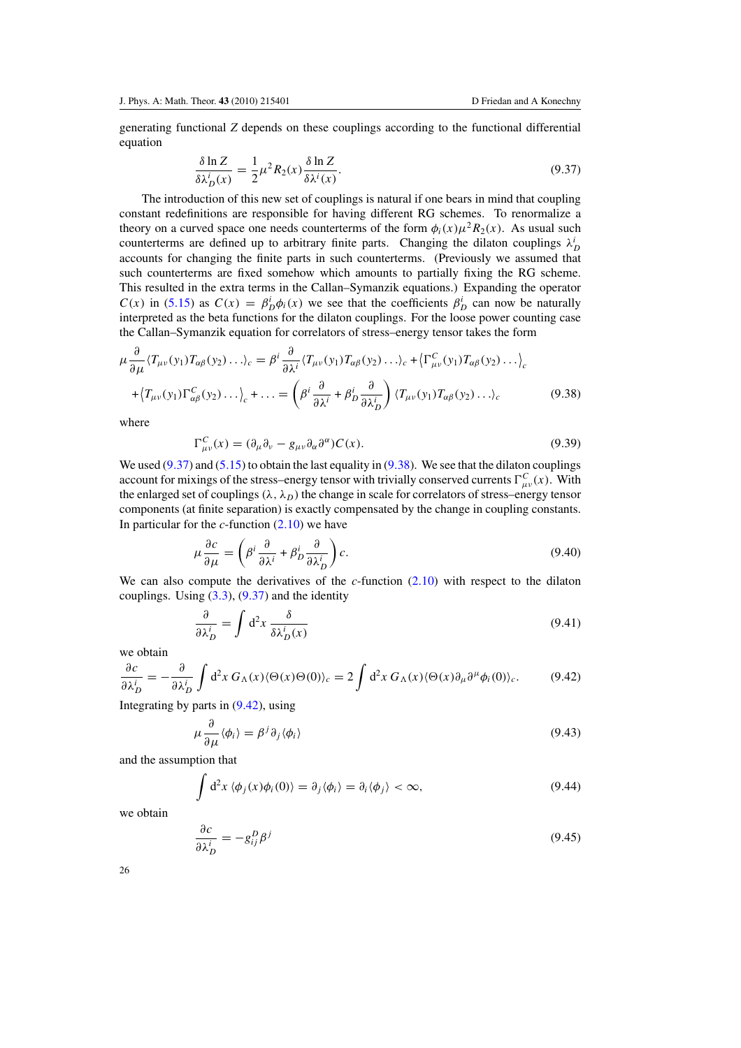<span id="page-25-0"></span>generating functional *Z* depends on these couplings according to the functional differential equation

$$
\frac{\delta \ln Z}{\delta \lambda_D^i(x)} = \frac{1}{2} \mu^2 R_2(x) \frac{\delta \ln Z}{\delta \lambda^i(x)}.
$$
\n(9.37)

The introduction of this new set of couplings is natural if one bears in mind that coupling constant redefinitions are responsible for having different RG schemes. To renormalize a theory on a curved space one needs counterterms of the form  $\phi_i(x) \mu^2 R_2(x)$ . As usual such counterterms are defined up to arbitrary finite parts. Changing the dilaton couplings  $\lambda_D^i$ accounts for changing the finite parts in such counterterms. (Previously we assumed that such counterterms are fixed somehow which amounts to partially fixing the RG scheme. This resulted in the extra terms in the Callan–Symanzik equations.) Expanding the operator *C(x)* in (5.[15\)](#page-10-0) as  $C(x) = \beta_D^i \phi_i(x)$  we see that the coefficients  $\beta_D^i$  can now be naturally interpreted as the beta functions for the dilaton couplings. For the loose power counting case the Callan–Symanzik equation for correlators of stress–energy tensor takes the form

$$
\mu \frac{\partial}{\partial \mu} \langle T_{\mu\nu}(y_1) T_{\alpha\beta}(y_2) \dots \rangle_c = \beta^i \frac{\partial}{\partial \lambda^i} \langle T_{\mu\nu}(y_1) T_{\alpha\beta}(y_2) \dots \rangle_c + \langle \Gamma_{\mu\nu}^C(y_1) T_{\alpha\beta}(y_2) \dots \rangle_c
$$
  
+  $\langle T_{\mu\nu}(y_1) \Gamma_{\alpha\beta}^C(y_2) \dots \rangle_c + \dots = \left( \beta^i \frac{\partial}{\partial \lambda^i} + \beta^i_D \frac{\partial}{\partial \lambda^i_D} \right) \langle T_{\mu\nu}(y_1) T_{\alpha\beta}(y_2) \dots \rangle_c$  (9.38)

where

$$
\Gamma_{\mu\nu}^C(x) = (\partial_\mu \partial_\nu - g_{\mu\nu} \partial_\alpha \partial^\alpha) C(x). \tag{9.39}
$$

We used (9*.*37) and (5*.*[15\)](#page-10-0) to obtain the last equality in (9*.*38). We see that the dilaton couplings account for mixings of the stress–energy tensor with trivially conserved currents  $\Gamma^C_{\mu\nu}(x)$ . With the enlarged set of couplings  $(\lambda, \lambda_D)$  the change in scale for correlators of stress–energy tensor components (at finite separation) is exactly compensated by the change in coupling constants. In particular for the *c*-function (2*.*[10\)](#page-4-0) we have

$$
\mu \frac{\partial c}{\partial \mu} = \left( \beta^i \frac{\partial}{\partial \lambda^i} + \beta^i_D \frac{\partial}{\partial \lambda^i_D} \right) c. \tag{9.40}
$$

We can also compute the derivatives of the *c*-function  $(2.10)$  $(2.10)$  with respect to the dilaton couplings. Using [\(3](#page-5-0)*.*3), (9*.*37) and the identity

$$
\frac{\partial}{\partial \lambda_D^i} = \int d^2 x \, \frac{\delta}{\delta \lambda_D^i(x)}\tag{9.41}
$$

we obtain

$$
\frac{\partial c}{\partial \lambda_D^i} = -\frac{\partial}{\partial \lambda_D^i} \int d^2x \ G_{\Lambda}(x) \langle \Theta(x) \Theta(0) \rangle_c = 2 \int d^2x \ G_{\Lambda}(x) \langle \Theta(x) \partial_\mu \partial^\mu \phi_i(0) \rangle_c. \tag{9.42}
$$

Integrating by parts in (9*.*42), using

$$
\mu \frac{\partial}{\partial \mu} \langle \phi_i \rangle = \beta^j \partial_j \langle \phi_i \rangle \tag{9.43}
$$

and the assumption that

$$
\int d^2x \langle \phi_j(x)\phi_i(0)\rangle = \partial_j \langle \phi_i\rangle = \partial_i \langle \phi_j\rangle < \infty, \tag{9.44}
$$

we obtain

$$
\frac{\partial c}{\partial \lambda_D^i} = -g_{ij}^D \beta^j \tag{9.45}
$$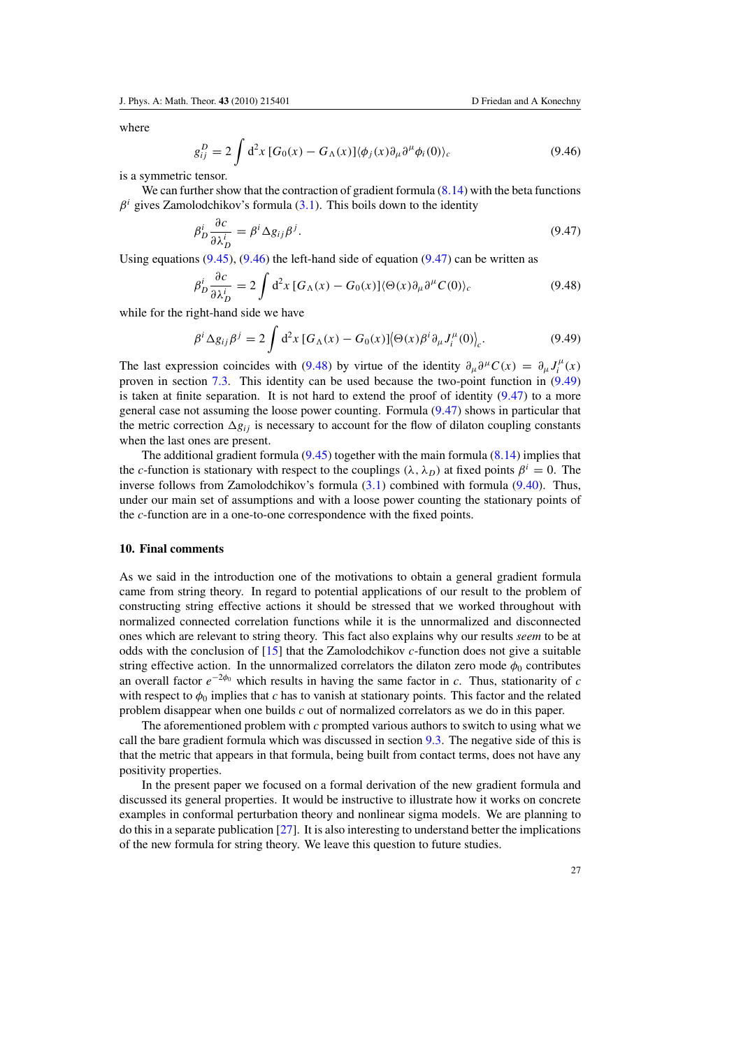<span id="page-26-0"></span>where

$$
g_{ij}^D = 2 \int d^2x \left[ G_0(x) - G_\Lambda(x) \right] \langle \phi_j(x) \partial_\mu \partial^\mu \phi_i(0) \rangle_c \tag{9.46}
$$

is a symmetric tensor.

We can further show that the contraction of gradient formula  $(8.14)$  $(8.14)$  with the beta functions  $\beta^i$  gives Zamolodchikov's formula [\(3](#page-5-0).1). This boils down to the identity

$$
\beta_D^i \frac{\partial c}{\partial \lambda_D^i} = \beta^i \Delta g_{ij} \beta^j. \tag{9.47}
$$

Using equations (9*.*[45\)](#page-25-0), (9*.*46) the left-hand side of equation (9*.*47) can be written as

$$
\beta_D^i \frac{\partial c}{\partial \lambda_D^i} = 2 \int d^2 x \left[ G_\Lambda(x) - G_0(x) \right] \langle \Theta(x) \partial_\mu \partial^\mu C(0) \rangle_c \tag{9.48}
$$

while for the right-hand side we have

$$
\beta^{i} \Delta g_{ij} \beta^{j} = 2 \int d^{2}x \left[ G_{\Lambda}(x) - G_{0}(x) \right] \langle \Theta(x) \beta^{i} \partial_{\mu} J_{i}^{\mu}(0) \rangle_{c}.
$$
 (9.49)

The last expression coincides with (9.48) by virtue of the identity  $\partial_{\mu} \partial^{\mu} C(x) = \partial_{\mu} J_i^{\mu}(x)$ proven in section [7.3.](#page-16-0) This identity can be used because the two-point function in (9*.*49) is taken at finite separation. It is not hard to extend the proof of identity (9*.*47) to a more general case not assuming the loose power counting. Formula (9*.*47) shows in particular that the metric correction  $\Delta g_{ij}$  is necessary to account for the flow of dilaton coupling constants when the last ones are present.

The additional gradient formula (9*.*[45\)](#page-25-0) together with the main formula (8*.*[14\)](#page-19-0) implies that the *c*-function is stationary with respect to the couplings  $(\lambda, \lambda_D)$  at fixed points  $\beta^i = 0$ . The inverse follows from Zamolodchikov's formula (3*.*[1\)](#page-5-0) combined with formula (9*.*[40\)](#page-25-0). Thus, under our main set of assumptions and with a loose power counting the stationary points of the *c*-function are in a one-to-one correspondence with the fixed points.

#### **10. Final comments**

As we said in the introduction one of the motivations to obtain a general gradient formula came from string theory. In regard to potential applications of our result to the problem of constructing string effective actions it should be stressed that we worked throughout with normalized connected correlation functions while it is the unnormalized and disconnected ones which are relevant to string theory. This fact also explains why our results *seem* to be at odds with the conclusion of [\[15\]](#page-27-0) that the Zamolodchikov *c*-function does not give a suitable string effective action. In the unnormalized correlators the dilaton zero mode  $\phi_0$  contributes an overall factor *e*−2*φ*<sup>0</sup> which results in having the same factor in *c*. Thus, stationarity of *c* with respect to  $\phi_0$  implies that *c* has to vanish at stationary points. This factor and the related problem disappear when one builds *c* out of normalized correlators as we do in this paper.

The aforementioned problem with *c* prompted various authors to switch to using what we call the bare gradient formula which was discussed in section [9.3.](#page-22-0) The negative side of this is that the metric that appears in that formula, being built from contact terms, does not have any positivity properties.

In the present paper we focused on a formal derivation of the new gradient formula and discussed its general properties. It would be instructive to illustrate how it works on concrete examples in conformal perturbation theory and nonlinear sigma models. We are planning to do this in a separate publication [\[27](#page-27-0)]. It is also interesting to understand better the implications of the new formula for string theory. We leave this question to future studies.